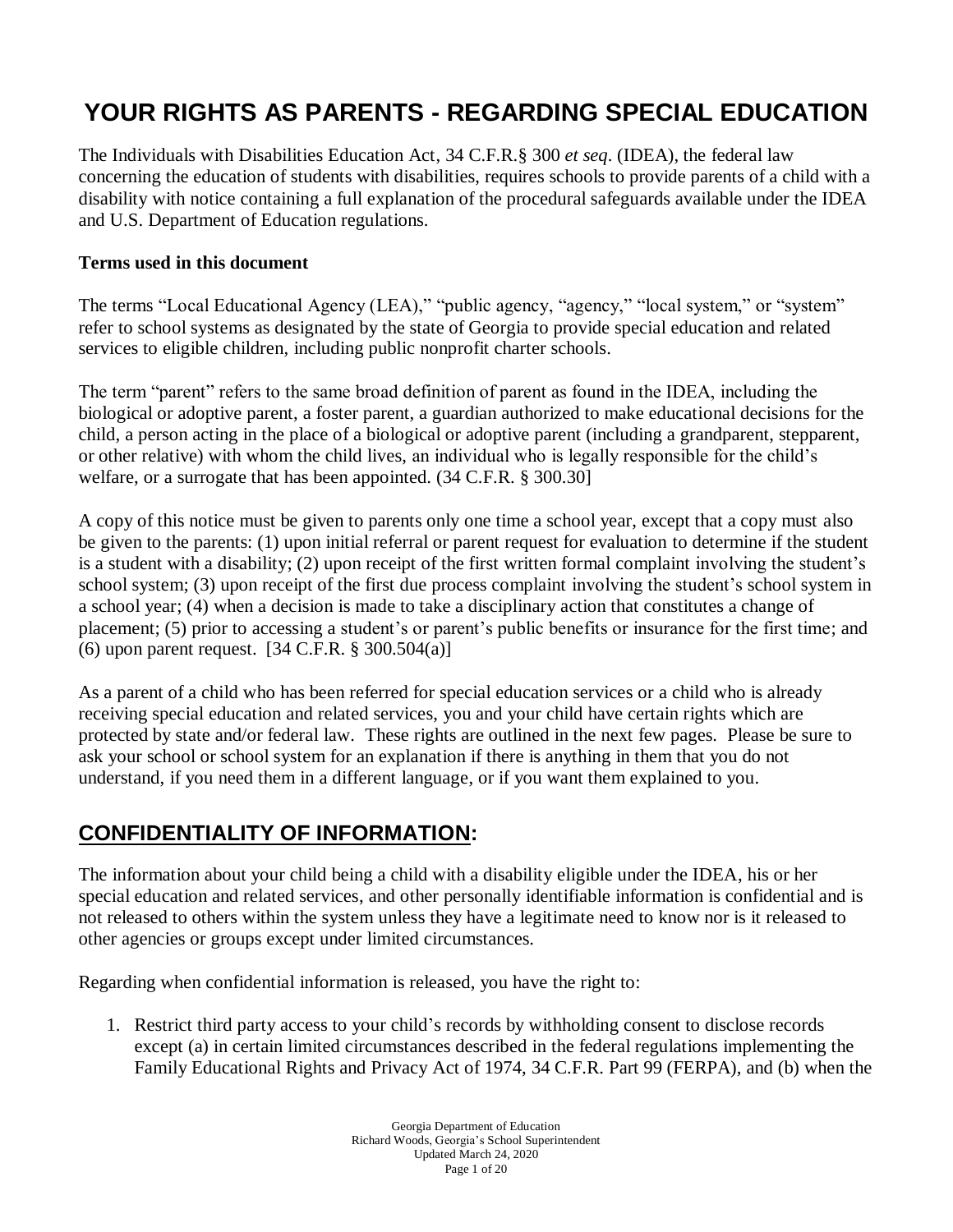# **YOUR RIGHTS AS PARENTS - REGARDING SPECIAL EDUCATION**

The Individuals with Disabilities Education Act, 34 C.F.R.§ 300 *et seq*. (IDEA), the federal law concerning the education of students with disabilities, requires schools to provide parents of a child with a disability with notice containing a full explanation of the procedural safeguards available under the IDEA and U.S. Department of Education regulations.

#### **Terms used in this document**

The terms "Local Educational Agency (LEA)," "public agency, "agency," "local system," or "system" refer to school systems as designated by the state of Georgia to provide special education and related services to eligible children, including public nonprofit charter schools.

The term "parent" refers to the same broad definition of parent as found in the IDEA, including the biological or adoptive parent, a foster parent, a guardian authorized to make educational decisions for the child, a person acting in the place of a biological or adoptive parent (including a grandparent, stepparent, or other relative) with whom the child lives, an individual who is legally responsible for the child's welfare, or a surrogate that has been appointed. (34 C.F.R. § 300.30]

A copy of this notice must be given to parents only one time a school year, except that a copy must also be given to the parents: (1) upon initial referral or parent request for evaluation to determine if the student is a student with a disability; (2) upon receipt of the first written formal complaint involving the student's school system; (3) upon receipt of the first due process complaint involving the student's school system in a school year; (4) when a decision is made to take a disciplinary action that constitutes a change of placement; (5) prior to accessing a student's or parent's public benefits or insurance for the first time; and (6) upon parent request. [34 C.F.R. § 300.504(a)]

As a parent of a child who has been referred for special education services or a child who is already receiving special education and related services, you and your child have certain rights which are protected by state and/or federal law. These rights are outlined in the next few pages. Please be sure to ask your school or school system for an explanation if there is anything in them that you do not understand, if you need them in a different language, or if you want them explained to you.

### **CONFIDENTIALITY OF INFORMATION:**

The information about your child being a child with a disability eligible under the IDEA, his or her special education and related services, and other personally identifiable information is confidential and is not released to others within the system unless they have a legitimate need to know nor is it released to other agencies or groups except under limited circumstances.

Regarding when confidential information is released, you have the right to:

1. Restrict third party access to your child's records by withholding consent to disclose records except (a) in certain limited circumstances described in the federal regulations implementing the Family Educational Rights and Privacy Act of 1974, 34 C.F.R. Part 99 (FERPA), and (b) when the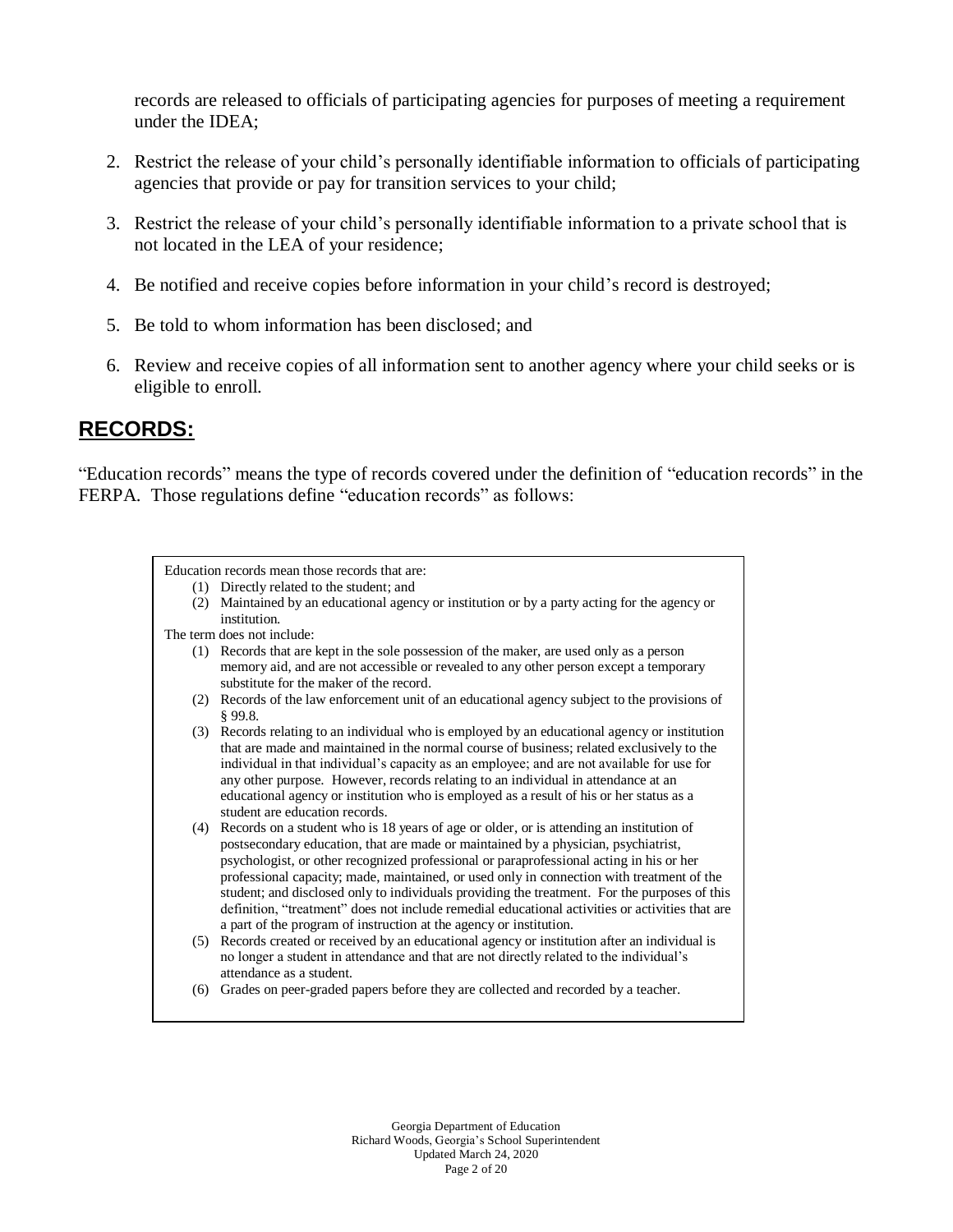records are released to officials of participating agencies for purposes of meeting a requirement under the IDEA;

- 2. Restrict the release of your child's personally identifiable information to officials of participating agencies that provide or pay for transition services to your child;
- 3. Restrict the release of your child's personally identifiable information to a private school that is not located in the LEA of your residence;
- 4. Be notified and receive copies before information in your child's record is destroyed;
- 5. Be told to whom information has been disclosed; and
- 6. Review and receive copies of all information sent to another agency where your child seeks or is eligible to enroll.

### **RECORDS:**

"Education records" means the type of records covered under the definition of "education records" in the FERPA. Those regulations define "education records" as follows:

| Education records mean those records that are: |                                                                                                                                                                                                                                                                                                                                                                                                                                                                                                                                                                                                                                                |
|------------------------------------------------|------------------------------------------------------------------------------------------------------------------------------------------------------------------------------------------------------------------------------------------------------------------------------------------------------------------------------------------------------------------------------------------------------------------------------------------------------------------------------------------------------------------------------------------------------------------------------------------------------------------------------------------------|
|                                                | (1) Directly related to the student; and                                                                                                                                                                                                                                                                                                                                                                                                                                                                                                                                                                                                       |
|                                                | (2) Maintained by an educational agency or institution or by a party acting for the agency or<br>institution.                                                                                                                                                                                                                                                                                                                                                                                                                                                                                                                                  |
| The term does not include:                     |                                                                                                                                                                                                                                                                                                                                                                                                                                                                                                                                                                                                                                                |
|                                                | (1) Records that are kept in the sole possession of the maker, are used only as a person<br>memory aid, and are not accessible or revealed to any other person except a temporary<br>substitute for the maker of the record.                                                                                                                                                                                                                                                                                                                                                                                                                   |
|                                                | (2) Records of the law enforcement unit of an educational agency subject to the provisions of<br>\$99.8.                                                                                                                                                                                                                                                                                                                                                                                                                                                                                                                                       |
|                                                | (3) Records relating to an individual who is employed by an educational agency or institution<br>that are made and maintained in the normal course of business; related exclusively to the<br>individual in that individual's capacity as an employee; and are not available for use for<br>any other purpose. However, records relating to an individual in attendance at an<br>educational agency or institution who is employed as a result of his or her status as a<br>student are education records.                                                                                                                                     |
| (4)                                            | Records on a student who is 18 years of age or older, or is attending an institution of<br>postsecondary education, that are made or maintained by a physician, psychiatrist,<br>psychologist, or other recognized professional or paraprofessional acting in his or her<br>professional capacity; made, maintained, or used only in connection with treatment of the<br>student; and disclosed only to individuals providing the treatment. For the purposes of this<br>definition, "treatment" does not include remedial educational activities or activities that are<br>a part of the program of instruction at the agency or institution. |
|                                                | (5) Records created or received by an educational agency or institution after an individual is<br>no longer a student in attendance and that are not directly related to the individual's<br>attendance as a student.                                                                                                                                                                                                                                                                                                                                                                                                                          |
| (6)                                            | Grades on peer-graded papers before they are collected and recorded by a teacher.                                                                                                                                                                                                                                                                                                                                                                                                                                                                                                                                                              |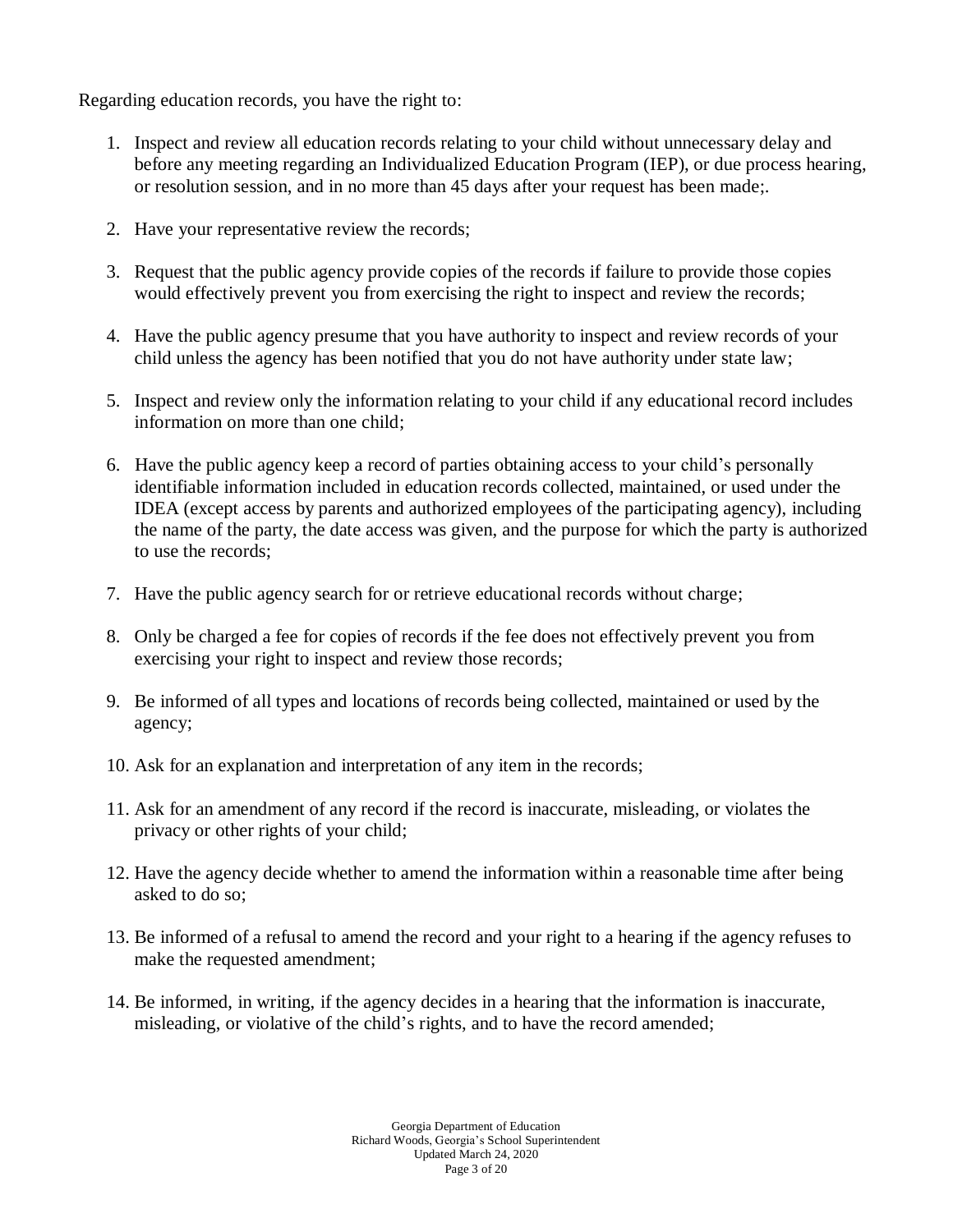Regarding education records, you have the right to:

- 1. Inspect and review all education records relating to your child without unnecessary delay and before any meeting regarding an Individualized Education Program (IEP), or due process hearing, or resolution session, and in no more than 45 days after your request has been made;.
- 2. Have your representative review the records;
- 3. Request that the public agency provide copies of the records if failure to provide those copies would effectively prevent you from exercising the right to inspect and review the records;
- 4. Have the public agency presume that you have authority to inspect and review records of your child unless the agency has been notified that you do not have authority under state law;
- 5. Inspect and review only the information relating to your child if any educational record includes information on more than one child;
- 6. Have the public agency keep a record of parties obtaining access to your child's personally identifiable information included in education records collected, maintained, or used under the IDEA (except access by parents and authorized employees of the participating agency), including the name of the party, the date access was given, and the purpose for which the party is authorized to use the records;
- 7. Have the public agency search for or retrieve educational records without charge;
- 8. Only be charged a fee for copies of records if the fee does not effectively prevent you from exercising your right to inspect and review those records;
- 9. Be informed of all types and locations of records being collected, maintained or used by the agency;
- 10. Ask for an explanation and interpretation of any item in the records;
- 11. Ask for an amendment of any record if the record is inaccurate, misleading, or violates the privacy or other rights of your child;
- 12. Have the agency decide whether to amend the information within a reasonable time after being asked to do so;
- 13. Be informed of a refusal to amend the record and your right to a hearing if the agency refuses to make the requested amendment;
- 14. Be informed, in writing, if the agency decides in a hearing that the information is inaccurate, misleading, or violative of the child's rights, and to have the record amended;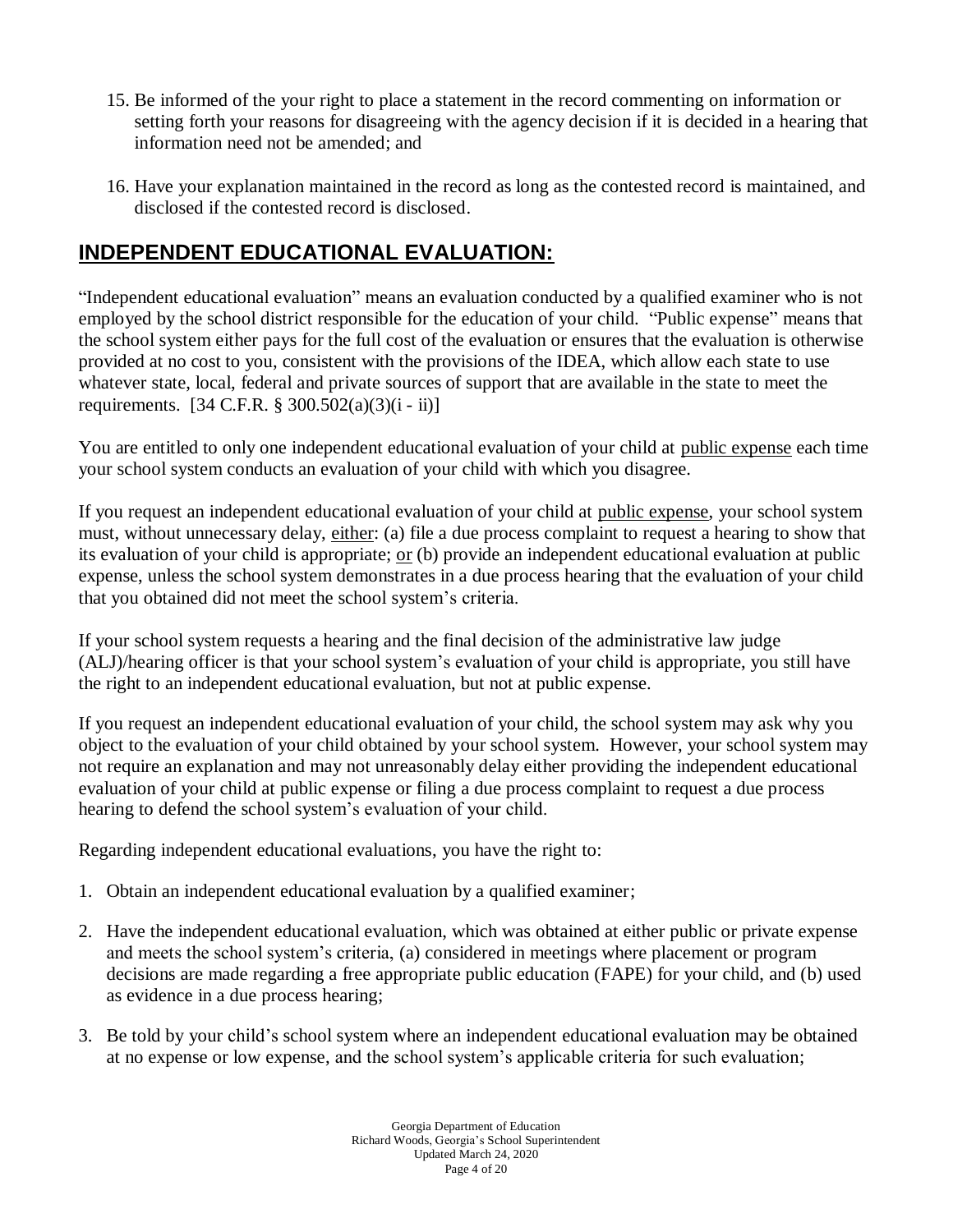- 15. Be informed of the your right to place a statement in the record commenting on information or setting forth your reasons for disagreeing with the agency decision if it is decided in a hearing that information need not be amended; and
- 16. Have your explanation maintained in the record as long as the contested record is maintained, and disclosed if the contested record is disclosed.

### **INDEPENDENT EDUCATIONAL EVALUATION:**

"Independent educational evaluation" means an evaluation conducted by a qualified examiner who is not employed by the school district responsible for the education of your child. "Public expense" means that the school system either pays for the full cost of the evaluation or ensures that the evaluation is otherwise provided at no cost to you, consistent with the provisions of the IDEA, which allow each state to use whatever state, local, federal and private sources of support that are available in the state to meet the requirements. [34 C.F.R. § 300.502(a)(3)(i - ii)]

You are entitled to only one independent educational evaluation of your child at public expense each time your school system conducts an evaluation of your child with which you disagree.

If you request an independent educational evaluation of your child at public expense, your school system must, without unnecessary delay, either: (a) file a due process complaint to request a hearing to show that its evaluation of your child is appropriate; <u>or</u> (b) provide an independent educational evaluation at public expense, unless the school system demonstrates in a due process hearing that the evaluation of your child that you obtained did not meet the school system's criteria.

If your school system requests a hearing and the final decision of the administrative law judge (ALJ)/hearing officer is that your school system's evaluation of your child is appropriate, you still have the right to an independent educational evaluation, but not at public expense.

If you request an independent educational evaluation of your child, the school system may ask why you object to the evaluation of your child obtained by your school system. However, your school system may not require an explanation and may not unreasonably delay either providing the independent educational evaluation of your child at public expense or filing a due process complaint to request a due process hearing to defend the school system's evaluation of your child.

Regarding independent educational evaluations, you have the right to:

- 1. Obtain an independent educational evaluation by a qualified examiner;
- 2. Have the independent educational evaluation, which was obtained at either public or private expense and meets the school system's criteria, (a) considered in meetings where placement or program decisions are made regarding a free appropriate public education (FAPE) for your child, and (b) used as evidence in a due process hearing;
- 3. Be told by your child's school system where an independent educational evaluation may be obtained at no expense or low expense, and the school system's applicable criteria for such evaluation;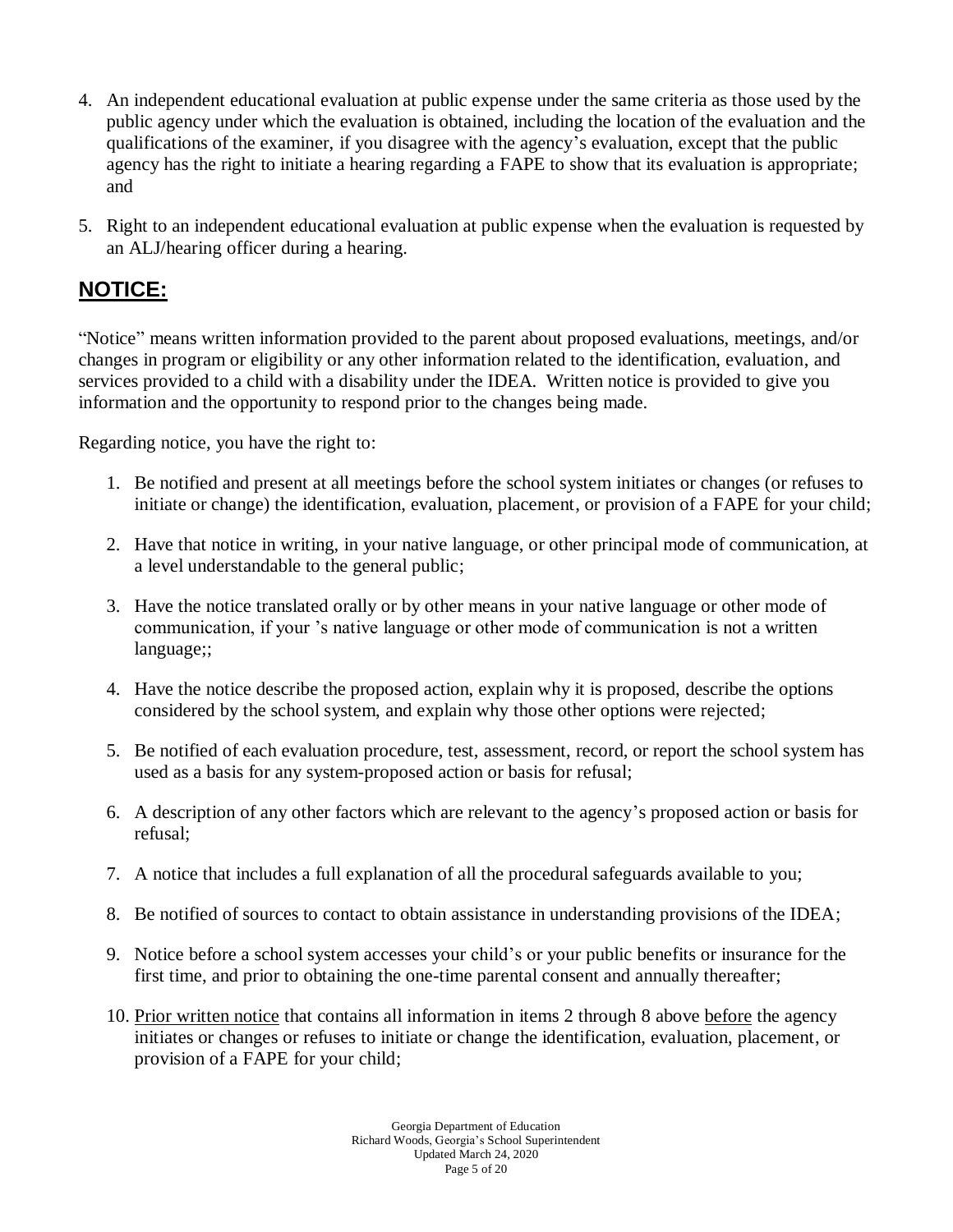- 4. An independent educational evaluation at public expense under the same criteria as those used by the public agency under which the evaluation is obtained, including the location of the evaluation and the qualifications of the examiner, if you disagree with the agency's evaluation, except that the public agency has the right to initiate a hearing regarding a FAPE to show that its evaluation is appropriate; and
- 5. Right to an independent educational evaluation at public expense when the evaluation is requested by an ALJ/hearing officer during a hearing.

### **NOTICE:**

"Notice" means written information provided to the parent about proposed evaluations, meetings, and/or changes in program or eligibility or any other information related to the identification, evaluation, and services provided to a child with a disability under the IDEA. Written notice is provided to give you information and the opportunity to respond prior to the changes being made.

Regarding notice, you have the right to:

- 1. Be notified and present at all meetings before the school system initiates or changes (or refuses to initiate or change) the identification, evaluation, placement, or provision of a FAPE for your child;
- 2. Have that notice in writing, in your native language, or other principal mode of communication, at a level understandable to the general public;
- 3. Have the notice translated orally or by other means in your native language or other mode of communication, if your 's native language or other mode of communication is not a written language;;
- 4. Have the notice describe the proposed action, explain why it is proposed, describe the options considered by the school system, and explain why those other options were rejected;
- 5. Be notified of each evaluation procedure, test, assessment, record, or report the school system has used as a basis for any system-proposed action or basis for refusal;
- 6. A description of any other factors which are relevant to the agency's proposed action or basis for refusal;
- 7. A notice that includes a full explanation of all the procedural safeguards available to you;
- 8. Be notified of sources to contact to obtain assistance in understanding provisions of the IDEA;
- 9. Notice before a school system accesses your child's or your public benefits or insurance for the first time, and prior to obtaining the one-time parental consent and annually thereafter;
- 10. Prior written notice that contains all information in items 2 through 8 above before the agency initiates or changes or refuses to initiate or change the identification, evaluation, placement, or provision of a FAPE for your child;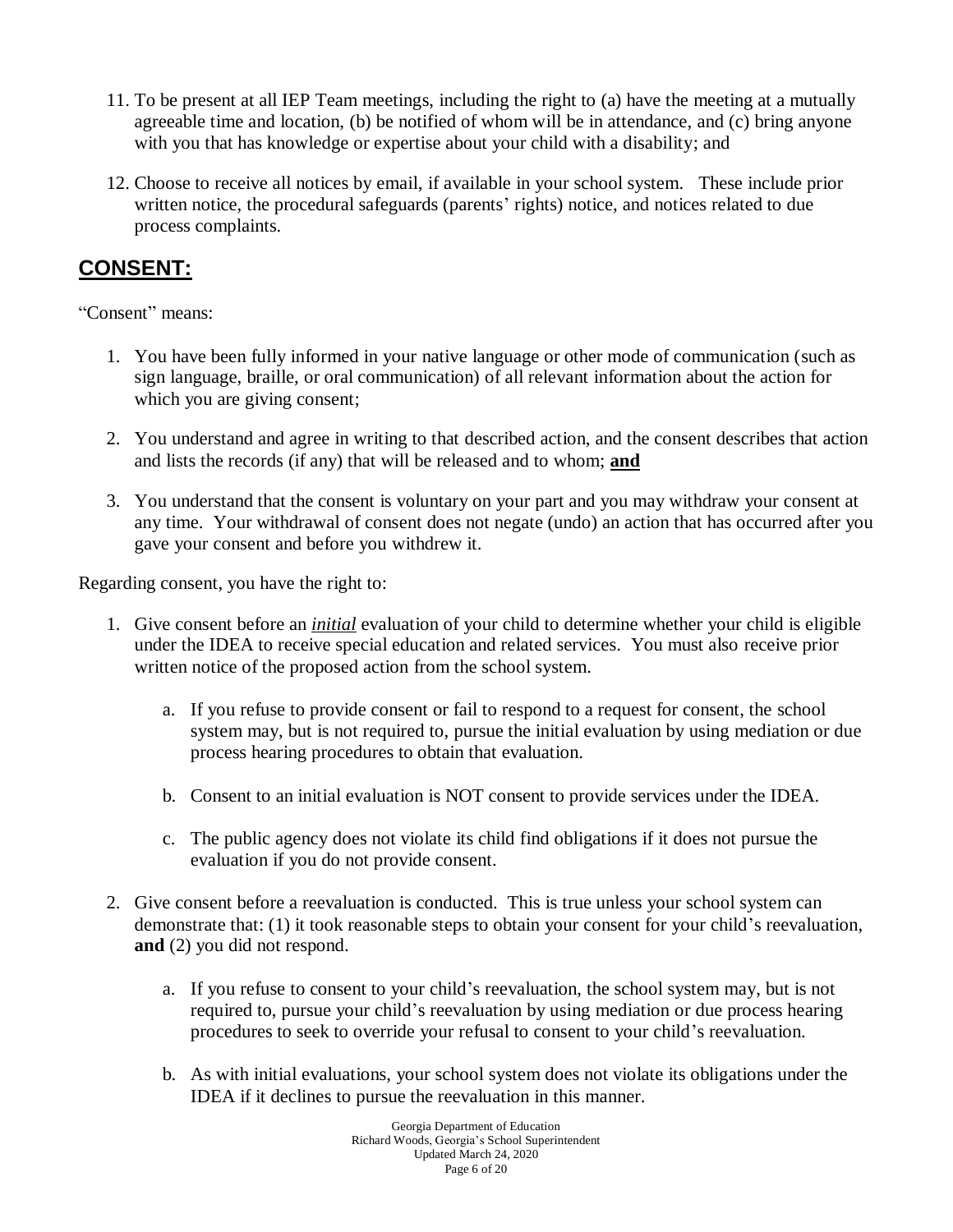- 11. To be present at all IEP Team meetings, including the right to (a) have the meeting at a mutually agreeable time and location, (b) be notified of whom will be in attendance, and (c) bring anyone with you that has knowledge or expertise about your child with a disability; and
- 12. Choose to receive all notices by email, if available in your school system. These include prior written notice, the procedural safeguards (parents' rights) notice, and notices related to due process complaints.

### **CONSENT:**

"Consent" means:

- 1. You have been fully informed in your native language or other mode of communication (such as sign language, braille, or oral communication) of all relevant information about the action for which you are giving consent;
- 2. You understand and agree in writing to that described action, and the consent describes that action and lists the records (if any) that will be released and to whom; **and**
- 3. You understand that the consent is voluntary on your part and you may withdraw your consent at any time. Your withdrawal of consent does not negate (undo) an action that has occurred after you gave your consent and before you withdrew it.

Regarding consent, you have the right to:

- 1. Give consent before an *initial* evaluation of your child to determine whether your child is eligible under the IDEA to receive special education and related services. You must also receive prior written notice of the proposed action from the school system.
	- a. If you refuse to provide consent or fail to respond to a request for consent, the school system may, but is not required to, pursue the initial evaluation by using mediation or due process hearing procedures to obtain that evaluation.
	- b. Consent to an initial evaluation is NOT consent to provide services under the IDEA.
	- c. The public agency does not violate its child find obligations if it does not pursue the evaluation if you do not provide consent.
- 2. Give consent before a reevaluation is conducted. This is true unless your school system can demonstrate that: (1) it took reasonable steps to obtain your consent for your child's reevaluation, **and** (2) you did not respond.
	- a. If you refuse to consent to your child's reevaluation, the school system may, but is not required to, pursue your child's reevaluation by using mediation or due process hearing procedures to seek to override your refusal to consent to your child's reevaluation.
	- b. As with initial evaluations, your school system does not violate its obligations under the IDEA if it declines to pursue the reevaluation in this manner.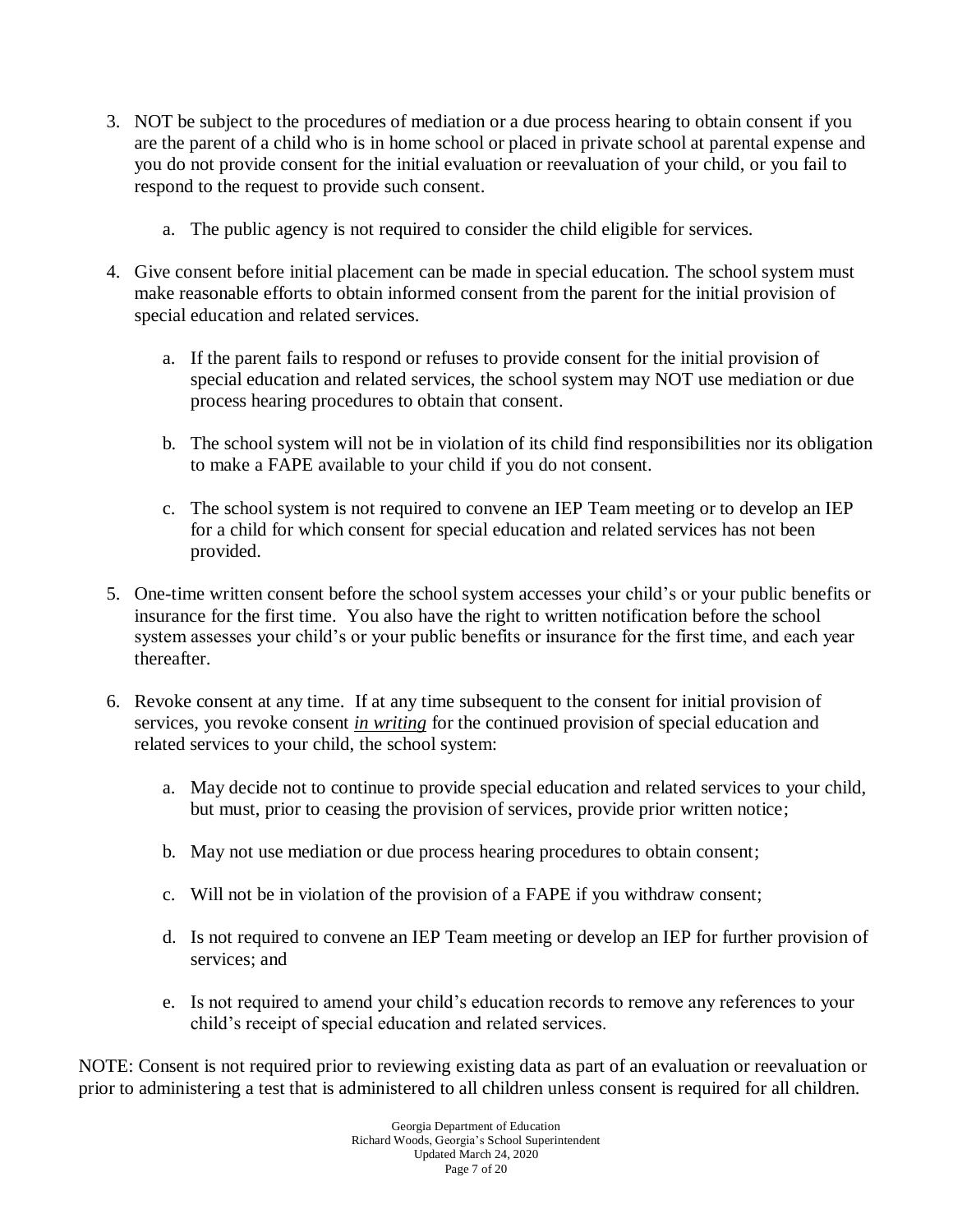- 3. NOT be subject to the procedures of mediation or a due process hearing to obtain consent if you are the parent of a child who is in home school or placed in private school at parental expense and you do not provide consent for the initial evaluation or reevaluation of your child, or you fail to respond to the request to provide such consent.
	- a. The public agency is not required to consider the child eligible for services.
- 4. Give consent before initial placement can be made in special education. The school system must make reasonable efforts to obtain informed consent from the parent for the initial provision of special education and related services.
	- a. If the parent fails to respond or refuses to provide consent for the initial provision of special education and related services, the school system may NOT use mediation or due process hearing procedures to obtain that consent.
	- b. The school system will not be in violation of its child find responsibilities nor its obligation to make a FAPE available to your child if you do not consent.
	- c. The school system is not required to convene an IEP Team meeting or to develop an IEP for a child for which consent for special education and related services has not been provided.
- 5. One-time written consent before the school system accesses your child's or your public benefits or insurance for the first time. You also have the right to written notification before the school system assesses your child's or your public benefits or insurance for the first time, and each year thereafter.
- 6. Revoke consent at any time. If at any time subsequent to the consent for initial provision of services, you revoke consent *in writing* for the continued provision of special education and related services to your child, the school system:
	- a. May decide not to continue to provide special education and related services to your child, but must, prior to ceasing the provision of services, provide prior written notice;
	- b. May not use mediation or due process hearing procedures to obtain consent;
	- c. Will not be in violation of the provision of a FAPE if you withdraw consent;
	- d. Is not required to convene an IEP Team meeting or develop an IEP for further provision of services; and
	- e. Is not required to amend your child's education records to remove any references to your child's receipt of special education and related services.

NOTE: Consent is not required prior to reviewing existing data as part of an evaluation or reevaluation or prior to administering a test that is administered to all children unless consent is required for all children.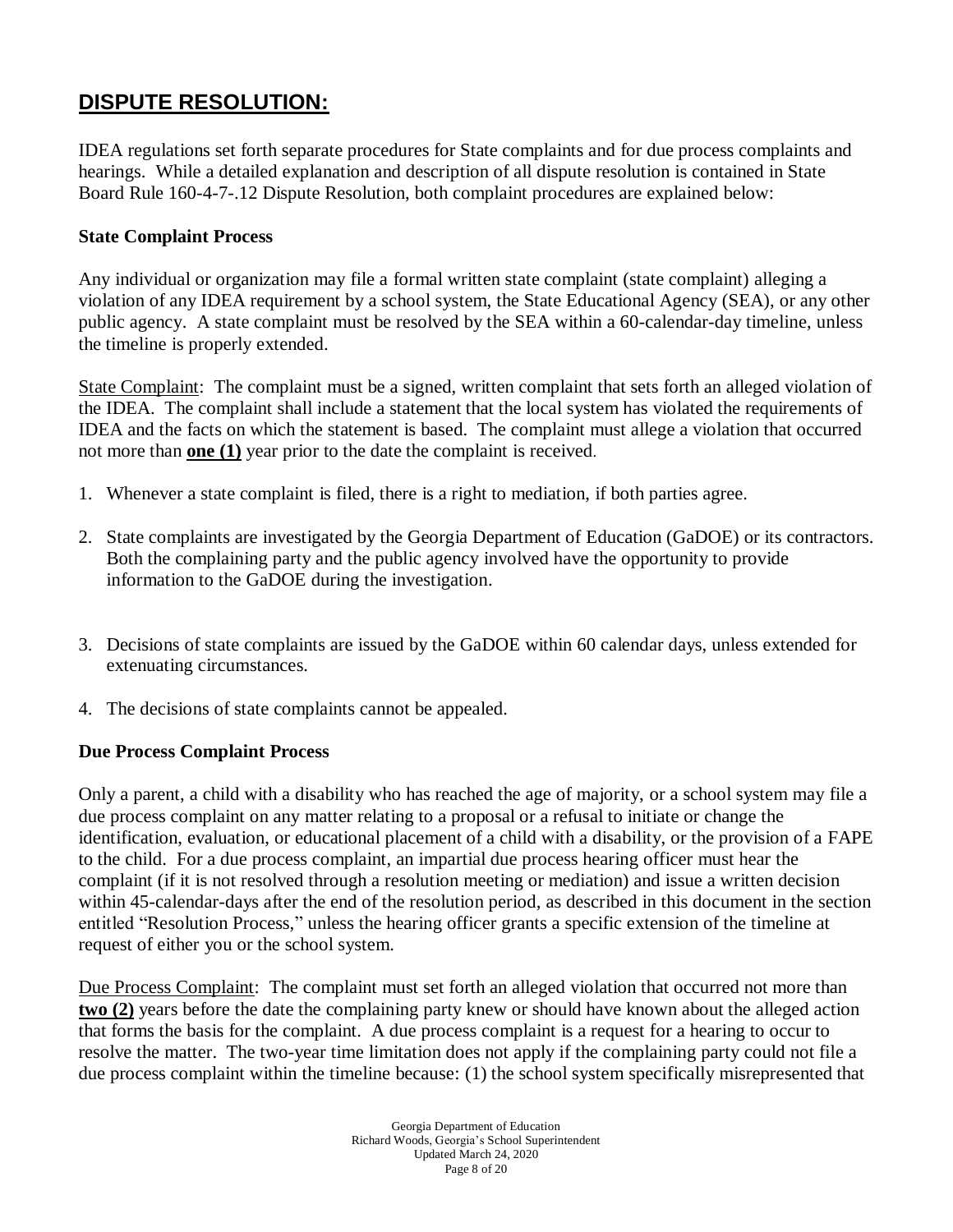### **DISPUTE RESOLUTION:**

IDEA regulations set forth separate procedures for State complaints and for due process complaints and hearings. While a detailed explanation and description of all dispute resolution is contained in State Board Rule 160-4-7-.12 Dispute Resolution, both complaint procedures are explained below:

#### **State Complaint Process**

Any individual or organization may file a formal written state complaint (state complaint) alleging a violation of any IDEA requirement by a school system, the State Educational Agency (SEA), or any other public agency. A state complaint must be resolved by the SEA within a 60-calendar-day timeline, unless the timeline is properly extended.

State Complaint: The complaint must be a signed, written complaint that sets forth an alleged violation of the IDEA. The complaint shall include a statement that the local system has violated the requirements of IDEA and the facts on which the statement is based. The complaint must allege a violation that occurred not more than **one (1)** year prior to the date the complaint is received.

- 1. Whenever a state complaint is filed, there is a right to mediation, if both parties agree.
- 2. State complaints are investigated by the Georgia Department of Education (GaDOE) or its contractors. Both the complaining party and the public agency involved have the opportunity to provide information to the GaDOE during the investigation.
- 3. Decisions of state complaints are issued by the GaDOE within 60 calendar days, unless extended for extenuating circumstances.
- 4. The decisions of state complaints cannot be appealed.

#### **Due Process Complaint Process**

Only a parent, a child with a disability who has reached the age of majority, or a school system may file a due process complaint on any matter relating to a proposal or a refusal to initiate or change the identification, evaluation, or educational placement of a child with a disability, or the provision of a FAPE to the child. For a due process complaint, an impartial due process hearing officer must hear the complaint (if it is not resolved through a resolution meeting or mediation) and issue a written decision within 45-calendar-days after the end of the resolution period, as described in this document in the section entitled "Resolution Process," unless the hearing officer grants a specific extension of the timeline at request of either you or the school system.

Due Process Complaint: The complaint must set forth an alleged violation that occurred not more than **two (2)** years before the date the complaining party knew or should have known about the alleged action that forms the basis for the complaint. A due process complaint is a request for a hearing to occur to resolve the matter. The two-year time limitation does not apply if the complaining party could not file a due process complaint within the timeline because: (1) the school system specifically misrepresented that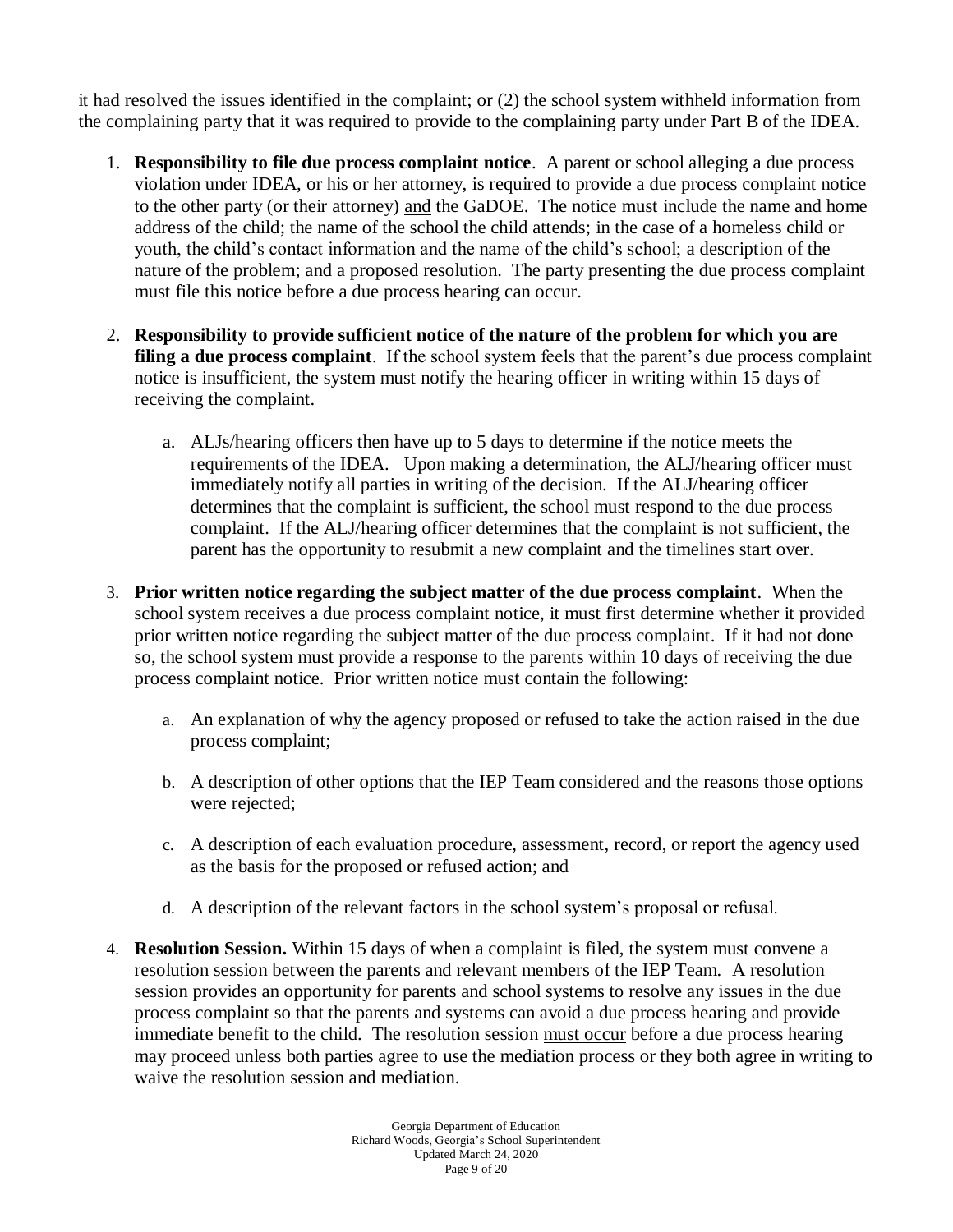it had resolved the issues identified in the complaint; or (2) the school system withheld information from the complaining party that it was required to provide to the complaining party under Part B of the IDEA.

- 1. **Responsibility to file due process complaint notice**. A parent or school alleging a due process violation under IDEA, or his or her attorney, is required to provide a due process complaint notice to the other party (or their attorney) and the GaDOE. The notice must include the name and home address of the child; the name of the school the child attends; in the case of a homeless child or youth, the child's contact information and the name of the child's school; a description of the nature of the problem; and a proposed resolution. The party presenting the due process complaint must file this notice before a due process hearing can occur.
- 2. **Responsibility to provide sufficient notice of the nature of the problem for which you are filing a due process complaint**. If the school system feels that the parent's due process complaint notice is insufficient, the system must notify the hearing officer in writing within 15 days of receiving the complaint.
	- a. ALJs/hearing officers then have up to 5 days to determine if the notice meets the requirements of the IDEA. Upon making a determination, the ALJ/hearing officer must immediately notify all parties in writing of the decision. If the ALJ/hearing officer determines that the complaint is sufficient, the school must respond to the due process complaint. If the ALJ/hearing officer determines that the complaint is not sufficient, the parent has the opportunity to resubmit a new complaint and the timelines start over.
- 3. **Prior written notice regarding the subject matter of the due process complaint**. When the school system receives a due process complaint notice, it must first determine whether it provided prior written notice regarding the subject matter of the due process complaint. If it had not done so, the school system must provide a response to the parents within 10 days of receiving the due process complaint notice. Prior written notice must contain the following:
	- a. An explanation of why the agency proposed or refused to take the action raised in the due process complaint;
	- b. A description of other options that the IEP Team considered and the reasons those options were rejected;
	- c. A description of each evaluation procedure, assessment, record, or report the agency used as the basis for the proposed or refused action; and
	- d. A description of the relevant factors in the school system's proposal or refusal.
- 4. **Resolution Session.** Within 15 days of when a complaint is filed, the system must convene a resolution session between the parents and relevant members of the IEP Team. A resolution session provides an opportunity for parents and school systems to resolve any issues in the due process complaint so that the parents and systems can avoid a due process hearing and provide immediate benefit to the child. The resolution session must occur before a due process hearing may proceed unless both parties agree to use the mediation process or they both agree in writing to waive the resolution session and mediation.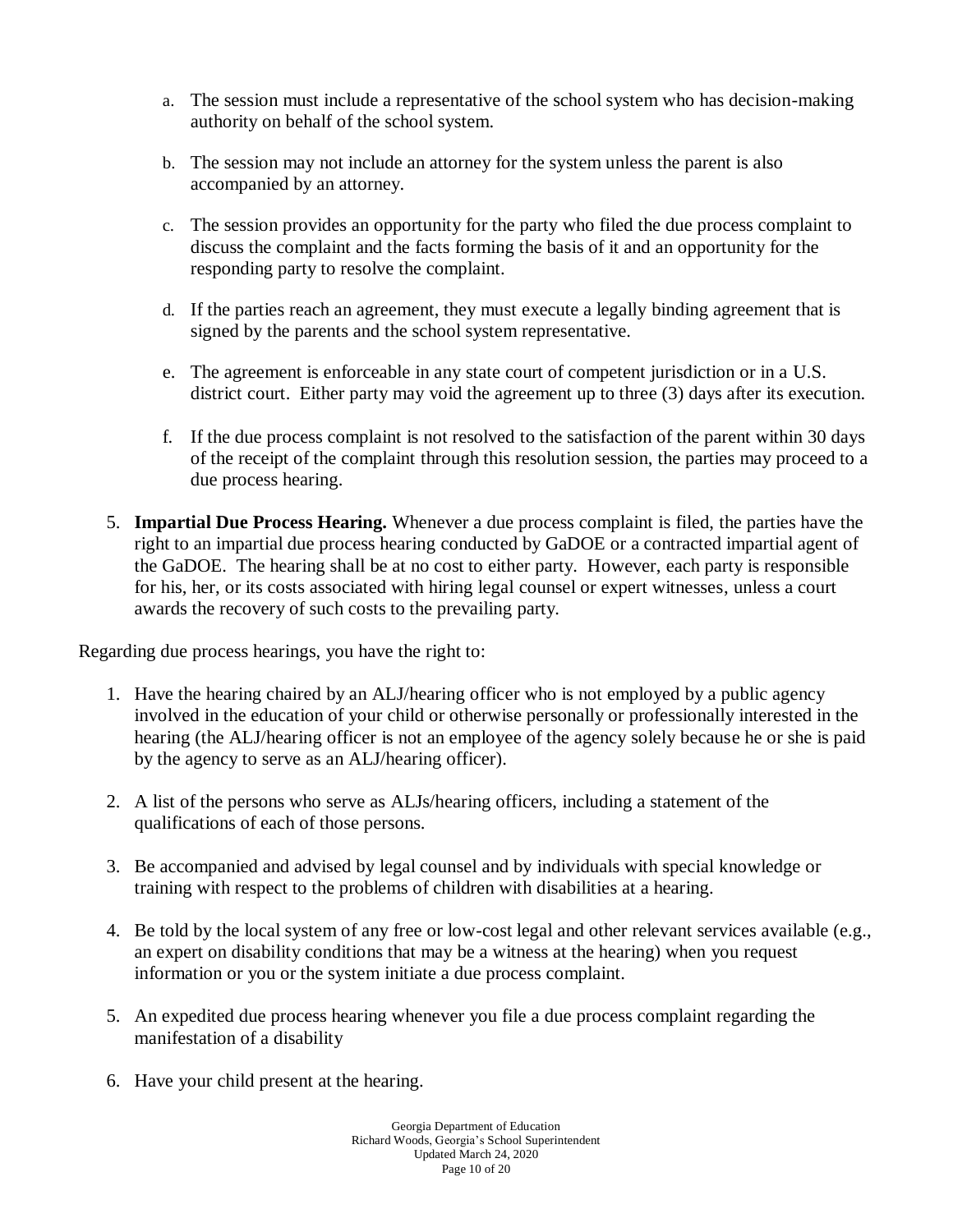- a. The session must include a representative of the school system who has decision-making authority on behalf of the school system.
- b. The session may not include an attorney for the system unless the parent is also accompanied by an attorney.
- c. The session provides an opportunity for the party who filed the due process complaint to discuss the complaint and the facts forming the basis of it and an opportunity for the responding party to resolve the complaint.
- d. If the parties reach an agreement, they must execute a legally binding agreement that is signed by the parents and the school system representative.
- e. The agreement is enforceable in any state court of competent jurisdiction or in a U.S. district court. Either party may void the agreement up to three (3) days after its execution.
- f. If the due process complaint is not resolved to the satisfaction of the parent within 30 days of the receipt of the complaint through this resolution session, the parties may proceed to a due process hearing.
- 5. **Impartial Due Process Hearing.** Whenever a due process complaint is filed, the parties have the right to an impartial due process hearing conducted by GaDOE or a contracted impartial agent of the GaDOE. The hearing shall be at no cost to either party. However, each party is responsible for his, her, or its costs associated with hiring legal counsel or expert witnesses, unless a court awards the recovery of such costs to the prevailing party.

Regarding due process hearings, you have the right to:

- 1. Have the hearing chaired by an ALJ/hearing officer who is not employed by a public agency involved in the education of your child or otherwise personally or professionally interested in the hearing (the ALJ/hearing officer is not an employee of the agency solely because he or she is paid by the agency to serve as an ALJ/hearing officer).
- 2. A list of the persons who serve as ALJs/hearing officers, including a statement of the qualifications of each of those persons.
- 3. Be accompanied and advised by legal counsel and by individuals with special knowledge or training with respect to the problems of children with disabilities at a hearing.
- 4. Be told by the local system of any free or low-cost legal and other relevant services available (e.g., an expert on disability conditions that may be a witness at the hearing) when you request information or you or the system initiate a due process complaint.
- 5. An expedited due process hearing whenever you file a due process complaint regarding the manifestation of a disability
- 6. Have your child present at the hearing.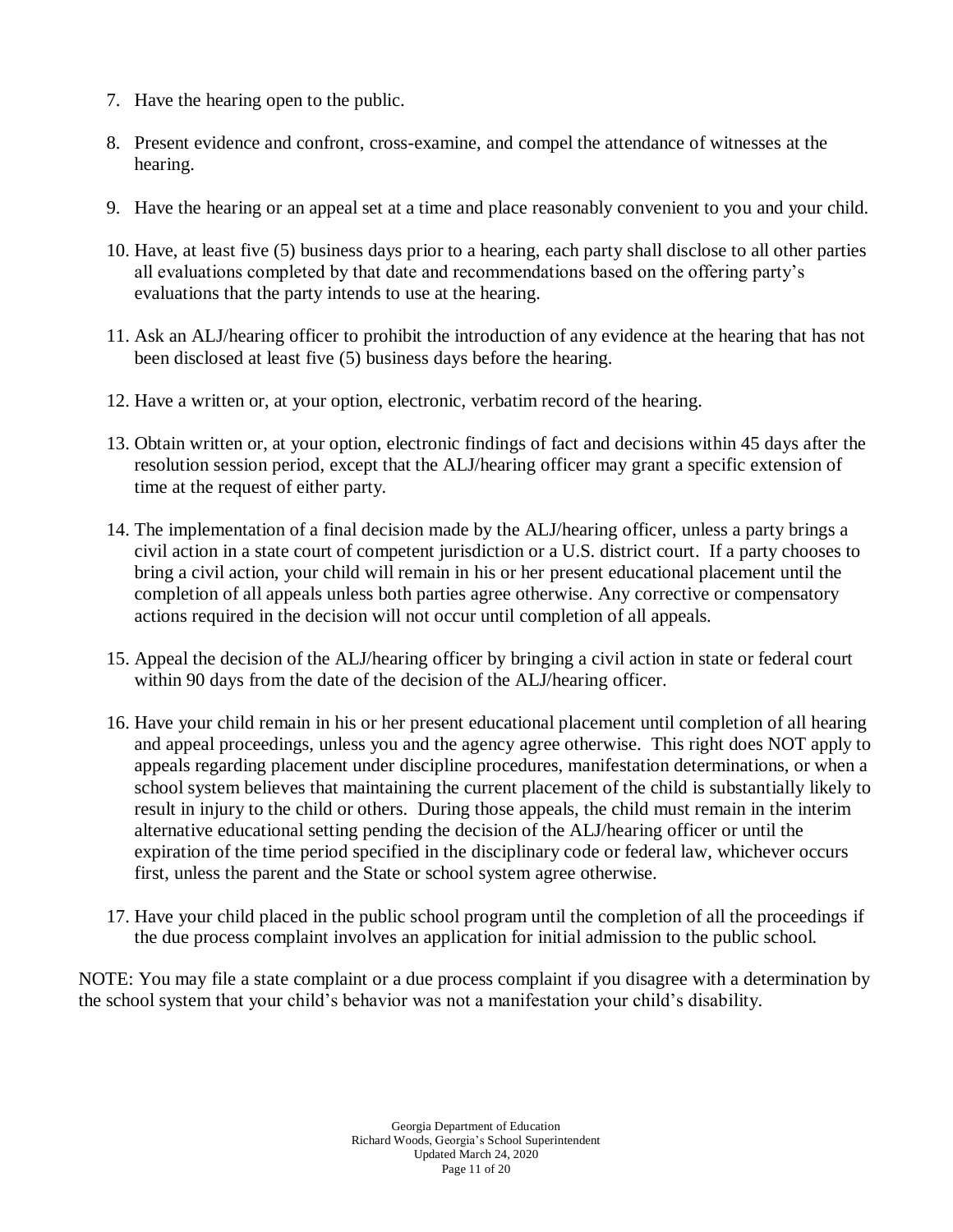- 7. Have the hearing open to the public.
- 8. Present evidence and confront, cross-examine, and compel the attendance of witnesses at the hearing.
- 9. Have the hearing or an appeal set at a time and place reasonably convenient to you and your child.
- 10. Have, at least five (5) business days prior to a hearing, each party shall disclose to all other parties all evaluations completed by that date and recommendations based on the offering party's evaluations that the party intends to use at the hearing.
- 11. Ask an ALJ/hearing officer to prohibit the introduction of any evidence at the hearing that has not been disclosed at least five (5) business days before the hearing.
- 12. Have a written or, at your option, electronic, verbatim record of the hearing.
- 13. Obtain written or, at your option, electronic findings of fact and decisions within 45 days after the resolution session period, except that the ALJ/hearing officer may grant a specific extension of time at the request of either party.
- 14. The implementation of a final decision made by the ALJ/hearing officer, unless a party brings a civil action in a state court of competent jurisdiction or a U.S. district court. If a party chooses to bring a civil action, your child will remain in his or her present educational placement until the completion of all appeals unless both parties agree otherwise. Any corrective or compensatory actions required in the decision will not occur until completion of all appeals.
- 15. Appeal the decision of the ALJ/hearing officer by bringing a civil action in state or federal court within 90 days from the date of the decision of the ALJ/hearing officer.
- 16. Have your child remain in his or her present educational placement until completion of all hearing and appeal proceedings, unless you and the agency agree otherwise. This right does NOT apply to appeals regarding placement under discipline procedures, manifestation determinations, or when a school system believes that maintaining the current placement of the child is substantially likely to result in injury to the child or others. During those appeals, the child must remain in the interim alternative educational setting pending the decision of the ALJ/hearing officer or until the expiration of the time period specified in the disciplinary code or federal law, whichever occurs first, unless the parent and the State or school system agree otherwise.
- 17. Have your child placed in the public school program until the completion of all the proceedings if the due process complaint involves an application for initial admission to the public school.

NOTE: You may file a state complaint or a due process complaint if you disagree with a determination by the school system that your child's behavior was not a manifestation your child's disability.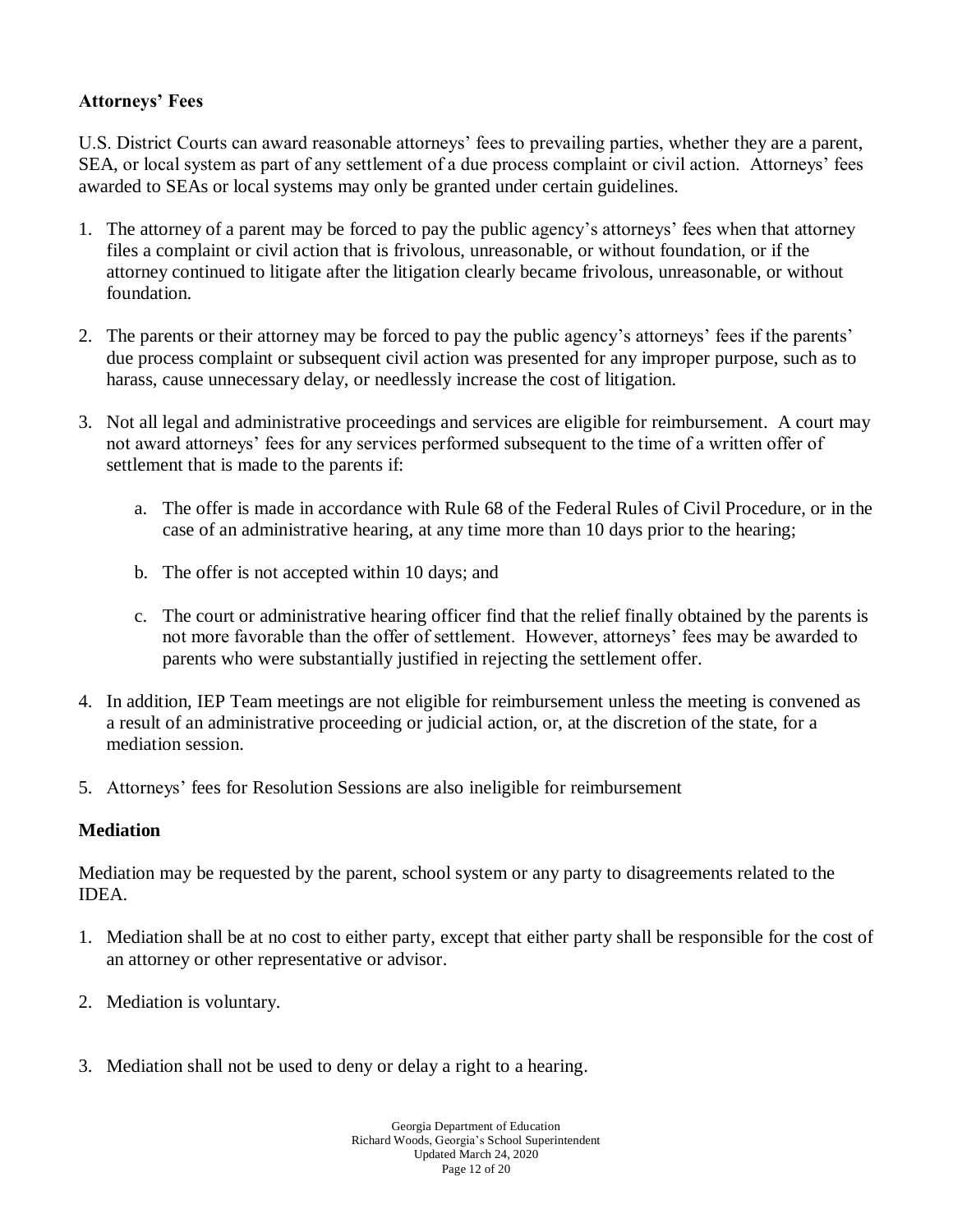#### **Attorneys' Fees**

U.S. District Courts can award reasonable attorneys' fees to prevailing parties, whether they are a parent, SEA, or local system as part of any settlement of a due process complaint or civil action. Attorneys' fees awarded to SEAs or local systems may only be granted under certain guidelines.

- 1. The attorney of a parent may be forced to pay the public agency's attorneys' fees when that attorney files a complaint or civil action that is frivolous, unreasonable, or without foundation, or if the attorney continued to litigate after the litigation clearly became frivolous, unreasonable, or without foundation.
- 2. The parents or their attorney may be forced to pay the public agency's attorneys' fees if the parents' due process complaint or subsequent civil action was presented for any improper purpose, such as to harass, cause unnecessary delay, or needlessly increase the cost of litigation.
- 3. Not all legal and administrative proceedings and services are eligible for reimbursement. A court may not award attorneys' fees for any services performed subsequent to the time of a written offer of settlement that is made to the parents if:
	- a. The offer is made in accordance with Rule 68 of the Federal Rules of Civil Procedure, or in the case of an administrative hearing, at any time more than 10 days prior to the hearing;
	- b. The offer is not accepted within 10 days; and
	- c. The court or administrative hearing officer find that the relief finally obtained by the parents is not more favorable than the offer of settlement. However, attorneys' fees may be awarded to parents who were substantially justified in rejecting the settlement offer.
- 4. In addition, IEP Team meetings are not eligible for reimbursement unless the meeting is convened as a result of an administrative proceeding or judicial action, or, at the discretion of the state, for a mediation session.
- 5. Attorneys' fees for Resolution Sessions are also ineligible for reimbursement

#### **Mediation**

Mediation may be requested by the parent, school system or any party to disagreements related to the IDEA.

- 1. Mediation shall be at no cost to either party, except that either party shall be responsible for the cost of an attorney or other representative or advisor.
- 2. Mediation is voluntary.
- 3. Mediation shall not be used to deny or delay a right to a hearing.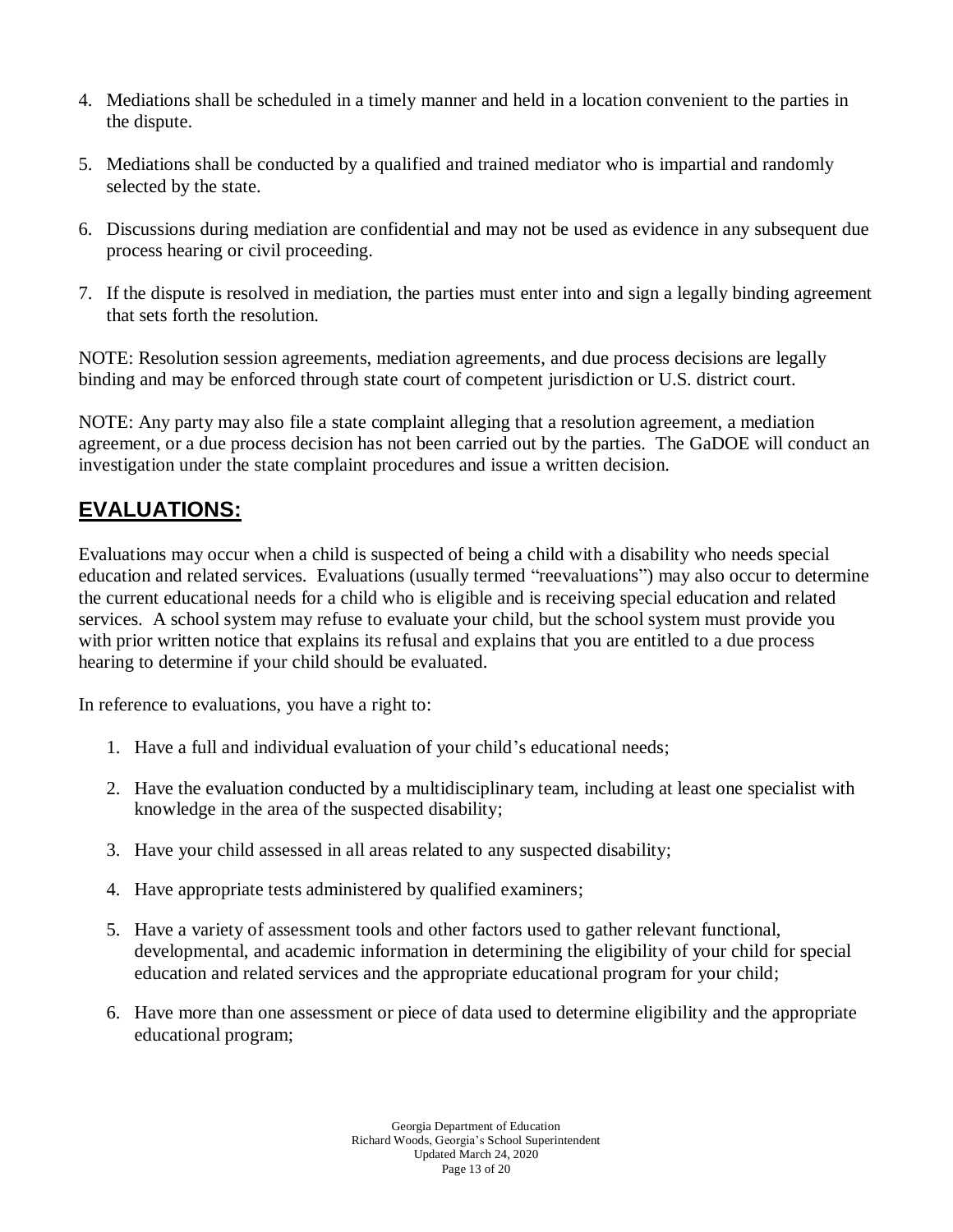- 4. Mediations shall be scheduled in a timely manner and held in a location convenient to the parties in the dispute.
- 5. Mediations shall be conducted by a qualified and trained mediator who is impartial and randomly selected by the state.
- 6. Discussions during mediation are confidential and may not be used as evidence in any subsequent due process hearing or civil proceeding.
- 7. If the dispute is resolved in mediation, the parties must enter into and sign a legally binding agreement that sets forth the resolution.

NOTE: Resolution session agreements, mediation agreements, and due process decisions are legally binding and may be enforced through state court of competent jurisdiction or U.S. district court.

NOTE: Any party may also file a state complaint alleging that a resolution agreement, a mediation agreement, or a due process decision has not been carried out by the parties. The GaDOE will conduct an investigation under the state complaint procedures and issue a written decision.

### **EVALUATIONS:**

Evaluations may occur when a child is suspected of being a child with a disability who needs special education and related services. Evaluations (usually termed "reevaluations") may also occur to determine the current educational needs for a child who is eligible and is receiving special education and related services. A school system may refuse to evaluate your child, but the school system must provide you with prior written notice that explains its refusal and explains that you are entitled to a due process hearing to determine if your child should be evaluated.

In reference to evaluations, you have a right to:

- 1. Have a full and individual evaluation of your child's educational needs;
- 2. Have the evaluation conducted by a multidisciplinary team, including at least one specialist with knowledge in the area of the suspected disability;
- 3. Have your child assessed in all areas related to any suspected disability;
- 4. Have appropriate tests administered by qualified examiners;
- 5. Have a variety of assessment tools and other factors used to gather relevant functional, developmental, and academic information in determining the eligibility of your child for special education and related services and the appropriate educational program for your child;
- 6. Have more than one assessment or piece of data used to determine eligibility and the appropriate educational program;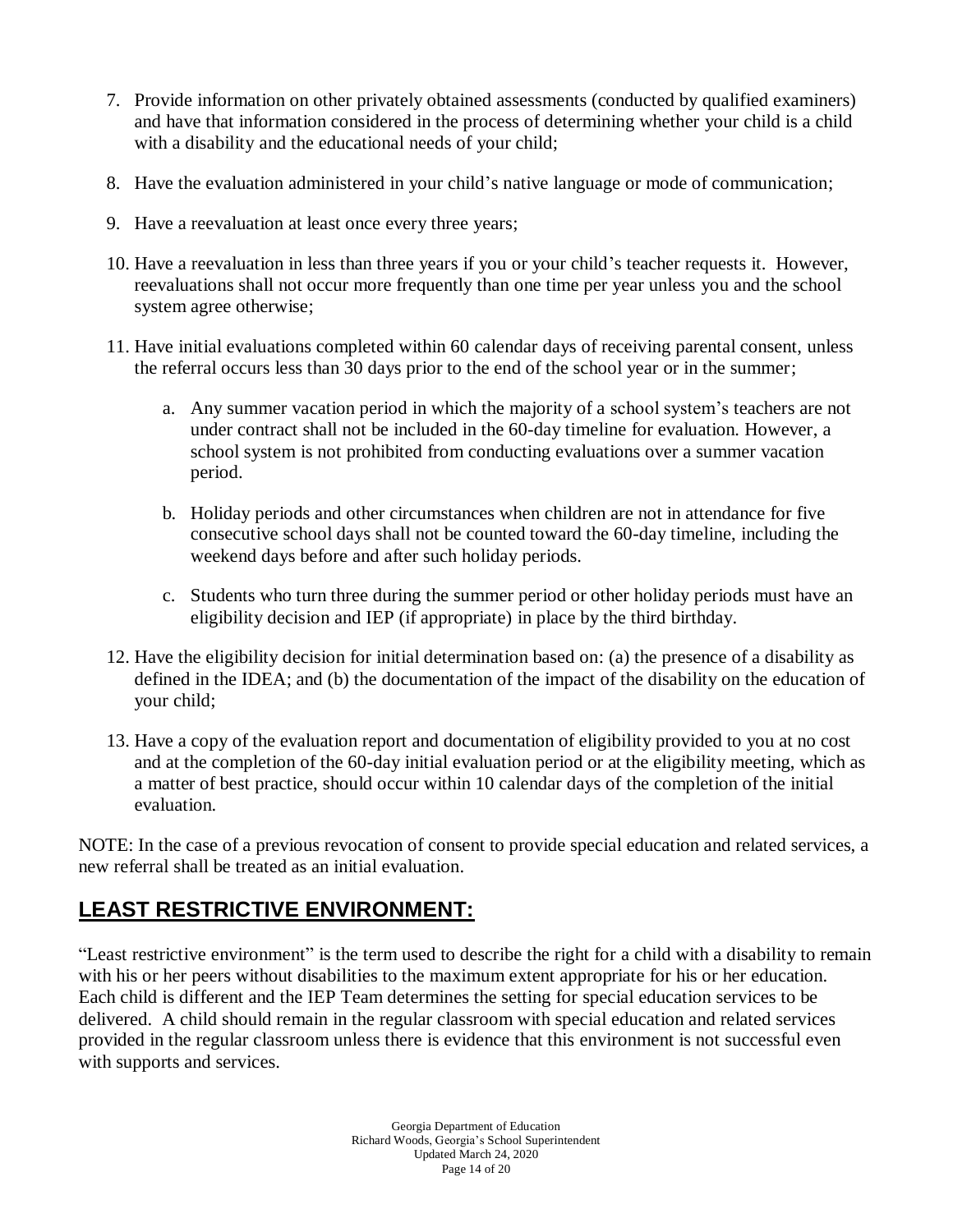- 7. Provide information on other privately obtained assessments (conducted by qualified examiners) and have that information considered in the process of determining whether your child is a child with a disability and the educational needs of your child;
- 8. Have the evaluation administered in your child's native language or mode of communication;
- 9. Have a reevaluation at least once every three years;
- 10. Have a reevaluation in less than three years if you or your child's teacher requests it. However, reevaluations shall not occur more frequently than one time per year unless you and the school system agree otherwise;
- 11. Have initial evaluations completed within 60 calendar days of receiving parental consent, unless the referral occurs less than 30 days prior to the end of the school year or in the summer;
	- a. Any summer vacation period in which the majority of a school system's teachers are not under contract shall not be included in the 60-day timeline for evaluation. However, a school system is not prohibited from conducting evaluations over a summer vacation period.
	- b. Holiday periods and other circumstances when children are not in attendance for five consecutive school days shall not be counted toward the 60-day timeline, including the weekend days before and after such holiday periods.
	- c. Students who turn three during the summer period or other holiday periods must have an eligibility decision and IEP (if appropriate) in place by the third birthday.
- 12. Have the eligibility decision for initial determination based on: (a) the presence of a disability as defined in the IDEA; and (b) the documentation of the impact of the disability on the education of your child;
- 13. Have a copy of the evaluation report and documentation of eligibility provided to you at no cost and at the completion of the 60-day initial evaluation period or at the eligibility meeting, which as a matter of best practice, should occur within 10 calendar days of the completion of the initial evaluation.

NOTE: In the case of a previous revocation of consent to provide special education and related services, a new referral shall be treated as an initial evaluation.

# **LEAST RESTRICTIVE ENVIRONMENT:**

"Least restrictive environment" is the term used to describe the right for a child with a disability to remain with his or her peers without disabilities to the maximum extent appropriate for his or her education. Each child is different and the IEP Team determines the setting for special education services to be delivered. A child should remain in the regular classroom with special education and related services provided in the regular classroom unless there is evidence that this environment is not successful even with supports and services.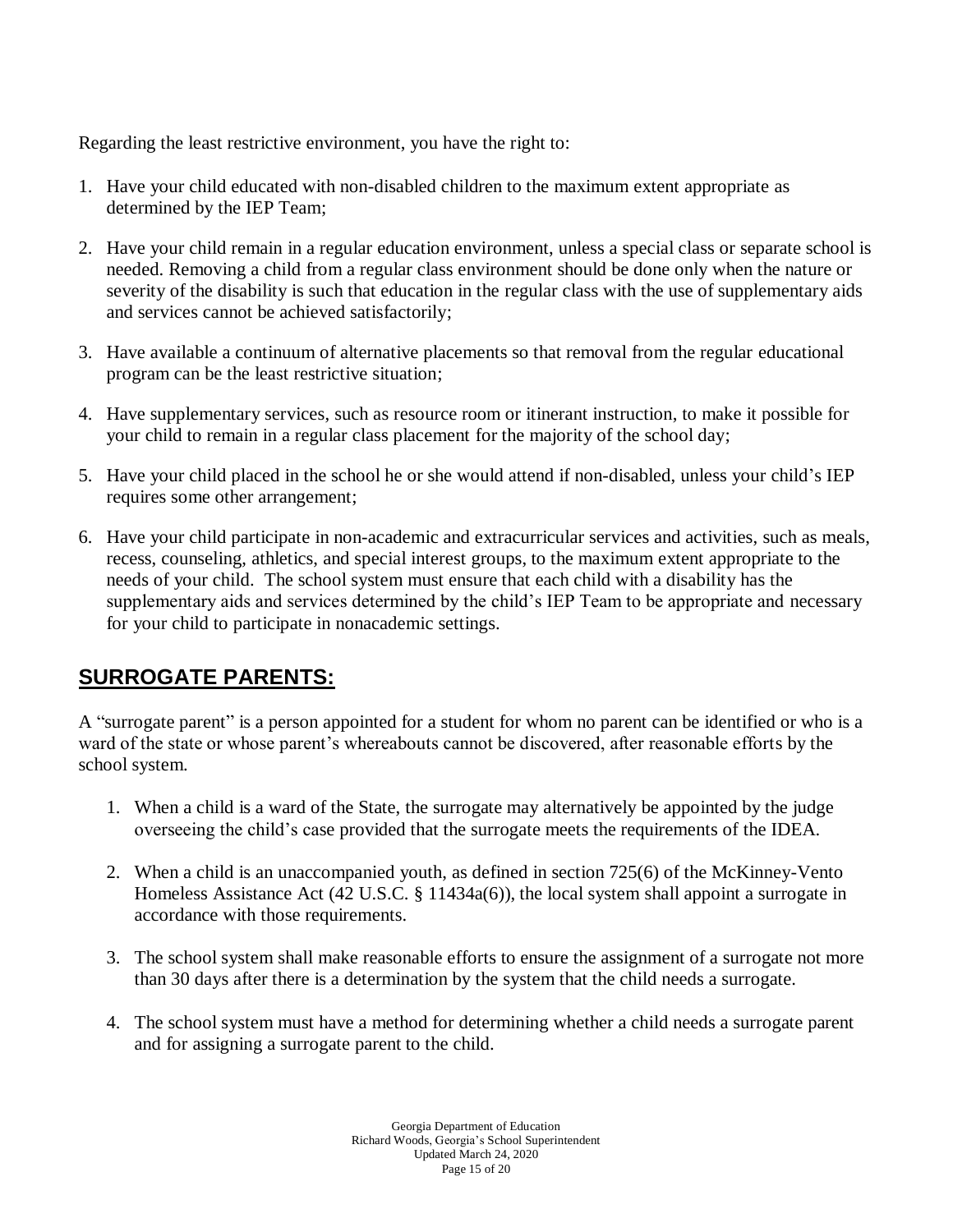Regarding the least restrictive environment, you have the right to:

- 1. Have your child educated with non-disabled children to the maximum extent appropriate as determined by the IEP Team;
- 2. Have your child remain in a regular education environment, unless a special class or separate school is needed. Removing a child from a regular class environment should be done only when the nature or severity of the disability is such that education in the regular class with the use of supplementary aids and services cannot be achieved satisfactorily;
- 3. Have available a continuum of alternative placements so that removal from the regular educational program can be the least restrictive situation;
- 4. Have supplementary services, such as resource room or itinerant instruction, to make it possible for your child to remain in a regular class placement for the majority of the school day;
- 5. Have your child placed in the school he or she would attend if non-disabled, unless your child's IEP requires some other arrangement;
- 6. Have your child participate in non-academic and extracurricular services and activities, such as meals, recess, counseling, athletics, and special interest groups, to the maximum extent appropriate to the needs of your child. The school system must ensure that each child with a disability has the supplementary aids and services determined by the child's IEP Team to be appropriate and necessary for your child to participate in nonacademic settings.

## **SURROGATE PARENTS:**

A "surrogate parent" is a person appointed for a student for whom no parent can be identified or who is a ward of the state or whose parent's whereabouts cannot be discovered, after reasonable efforts by the school system.

- 1. When a child is a ward of the State, the surrogate may alternatively be appointed by the judge overseeing the child's case provided that the surrogate meets the requirements of the IDEA.
- 2. When a child is an unaccompanied youth, as defined in section 725(6) of the McKinney-Vento Homeless Assistance Act (42 U.S.C. § 11434a(6)), the local system shall appoint a surrogate in accordance with those requirements.
- 3. The school system shall make reasonable efforts to ensure the assignment of a surrogate not more than 30 days after there is a determination by the system that the child needs a surrogate.
- 4. The school system must have a method for determining whether a child needs a surrogate parent and for assigning a surrogate parent to the child.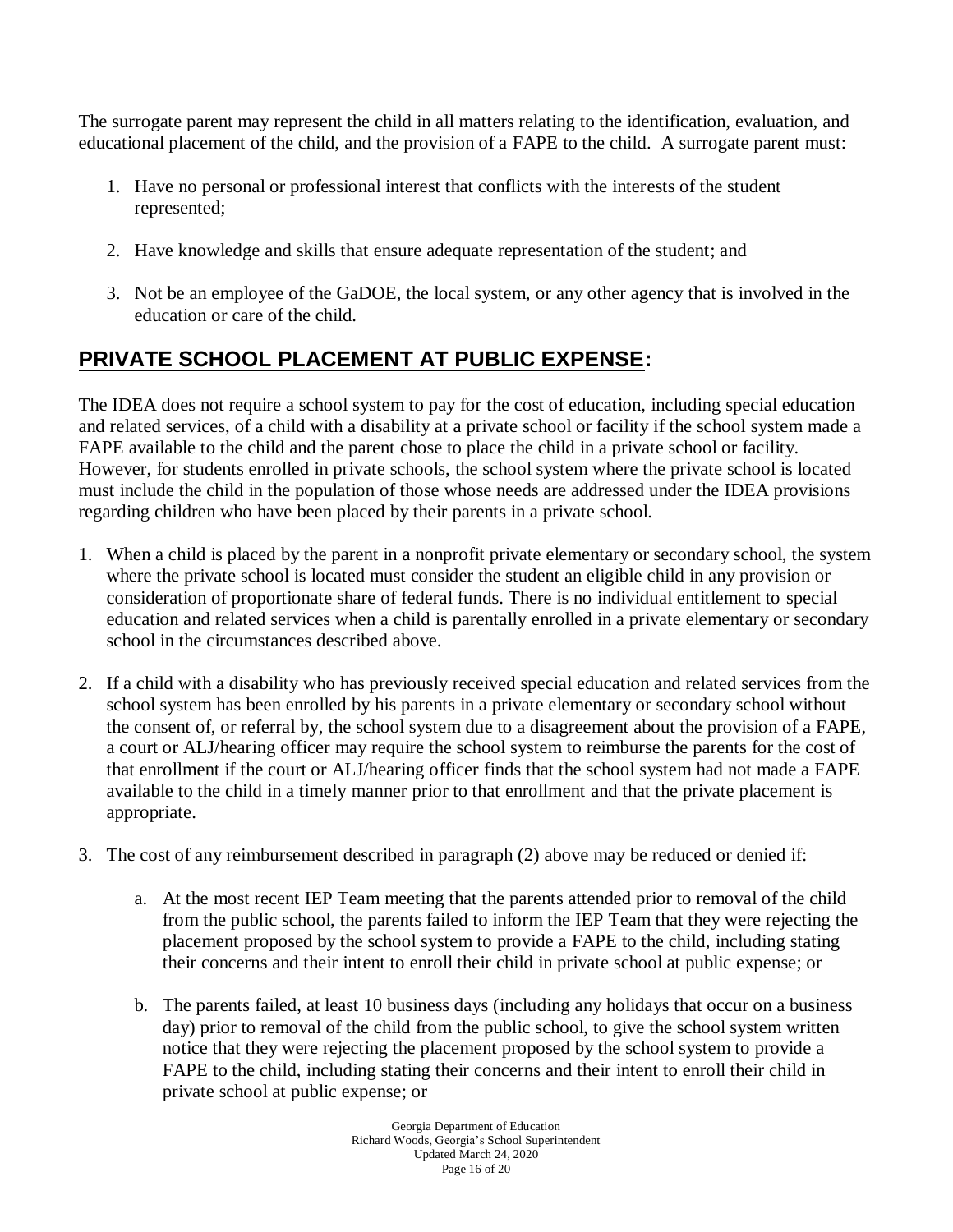The surrogate parent may represent the child in all matters relating to the identification, evaluation, and educational placement of the child, and the provision of a FAPE to the child. A surrogate parent must:

- 1. Have no personal or professional interest that conflicts with the interests of the student represented;
- 2. Have knowledge and skills that ensure adequate representation of the student; and
- 3. Not be an employee of the GaDOE, the local system, or any other agency that is involved in the education or care of the child.

# **PRIVATE SCHOOL PLACEMENT AT PUBLIC EXPENSE:**

The IDEA does not require a school system to pay for the cost of education, including special education and related services, of a child with a disability at a private school or facility if the school system made a FAPE available to the child and the parent chose to place the child in a private school or facility. However, for students enrolled in private schools, the school system where the private school is located must include the child in the population of those whose needs are addressed under the IDEA provisions regarding children who have been placed by their parents in a private school.

- 1. When a child is placed by the parent in a nonprofit private elementary or secondary school, the system where the private school is located must consider the student an eligible child in any provision or consideration of proportionate share of federal funds. There is no individual entitlement to special education and related services when a child is parentally enrolled in a private elementary or secondary school in the circumstances described above.
- 2. If a child with a disability who has previously received special education and related services from the school system has been enrolled by his parents in a private elementary or secondary school without the consent of, or referral by, the school system due to a disagreement about the provision of a FAPE, a court or ALJ/hearing officer may require the school system to reimburse the parents for the cost of that enrollment if the court or ALJ/hearing officer finds that the school system had not made a FAPE available to the child in a timely manner prior to that enrollment and that the private placement is appropriate.
- 3. The cost of any reimbursement described in paragraph (2) above may be reduced or denied if:
	- a. At the most recent IEP Team meeting that the parents attended prior to removal of the child from the public school, the parents failed to inform the IEP Team that they were rejecting the placement proposed by the school system to provide a FAPE to the child, including stating their concerns and their intent to enroll their child in private school at public expense; or
	- b. The parents failed, at least 10 business days (including any holidays that occur on a business day) prior to removal of the child from the public school, to give the school system written notice that they were rejecting the placement proposed by the school system to provide a FAPE to the child, including stating their concerns and their intent to enroll their child in private school at public expense; or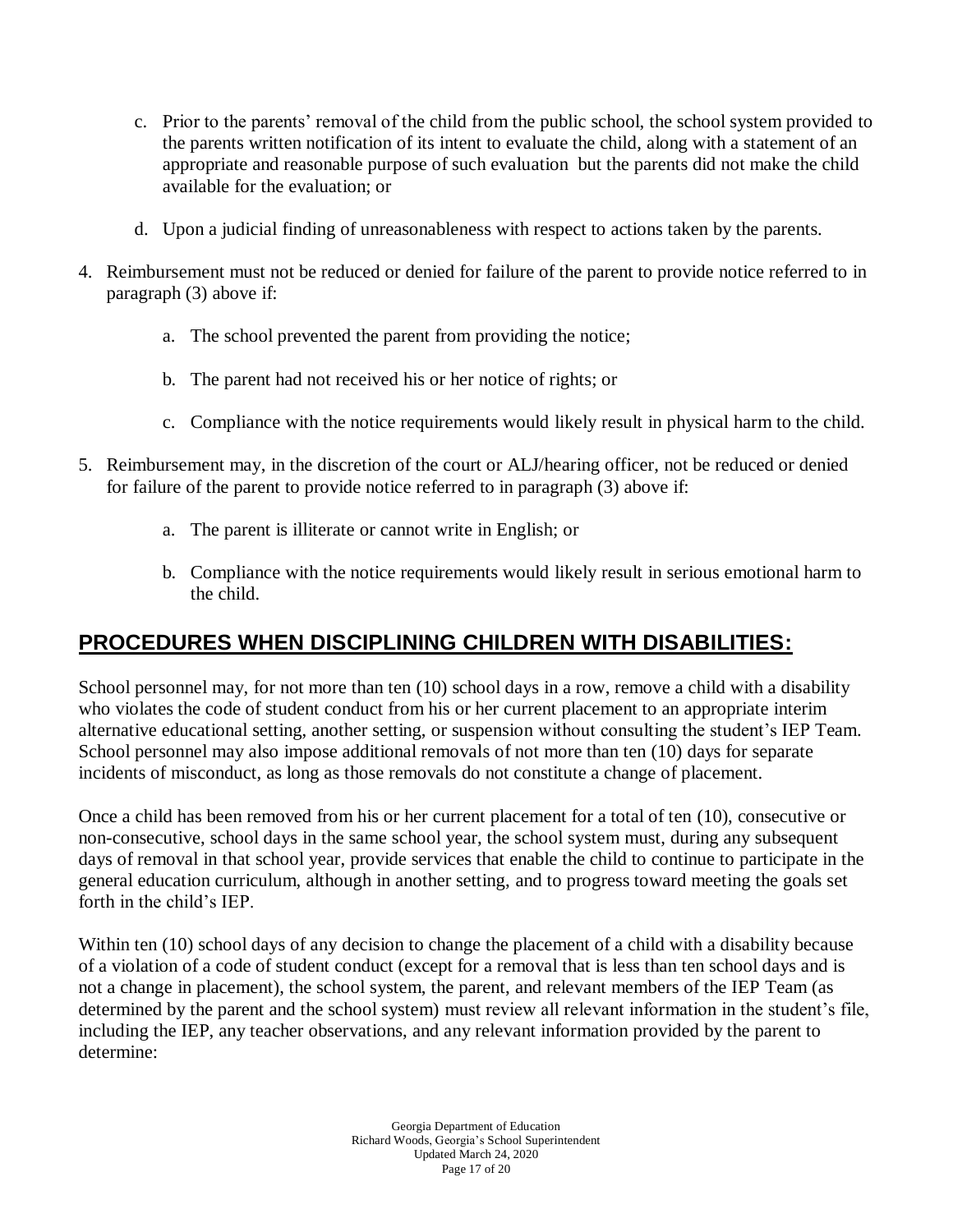- c. Prior to the parents' removal of the child from the public school, the school system provided to the parents written notification of its intent to evaluate the child, along with a statement of an appropriate and reasonable purpose of such evaluation but the parents did not make the child available for the evaluation; or
- d. Upon a judicial finding of unreasonableness with respect to actions taken by the parents.
- 4. Reimbursement must not be reduced or denied for failure of the parent to provide notice referred to in paragraph (3) above if:
	- a. The school prevented the parent from providing the notice;
	- b. The parent had not received his or her notice of rights; or
	- c. Compliance with the notice requirements would likely result in physical harm to the child.
- 5. Reimbursement may, in the discretion of the court or ALJ/hearing officer, not be reduced or denied for failure of the parent to provide notice referred to in paragraph (3) above if:
	- a. The parent is illiterate or cannot write in English; or
	- b. Compliance with the notice requirements would likely result in serious emotional harm to the child.

### **PROCEDURES WHEN DISCIPLINING CHILDREN WITH DISABILITIES:**

School personnel may, for not more than ten (10) school days in a row, remove a child with a disability who violates the code of student conduct from his or her current placement to an appropriate interim alternative educational setting, another setting, or suspension without consulting the student's IEP Team. School personnel may also impose additional removals of not more than ten (10) days for separate incidents of misconduct, as long as those removals do not constitute a change of placement.

Once a child has been removed from his or her current placement for a total of ten (10), consecutive or non-consecutive, school days in the same school year, the school system must, during any subsequent days of removal in that school year, provide services that enable the child to continue to participate in the general education curriculum, although in another setting, and to progress toward meeting the goals set forth in the child's IEP.

Within ten (10) school days of any decision to change the placement of a child with a disability because of a violation of a code of student conduct (except for a removal that is less than ten school days and is not a change in placement), the school system, the parent, and relevant members of the IEP Team (as determined by the parent and the school system) must review all relevant information in the student's file, including the IEP, any teacher observations, and any relevant information provided by the parent to determine: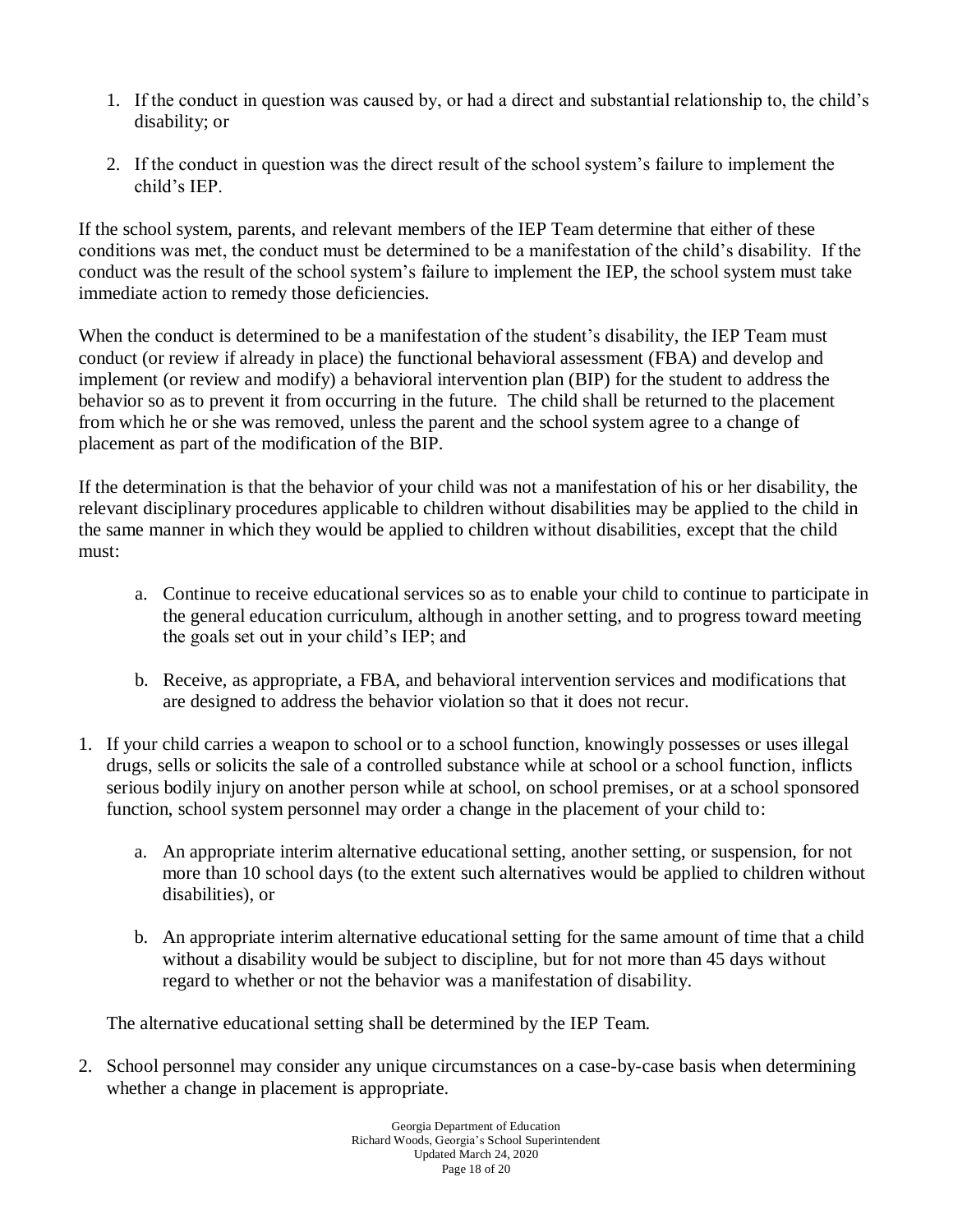- 1. If the conduct in question was caused by, or had a direct and substantial relationship to, the child's disability; or
- 2. If the conduct in question was the direct result of the school system's failure to implement the child's IEP.

If the school system, parents, and relevant members of the IEP Team determine that either of these conditions was met, the conduct must be determined to be a manifestation of the child's disability. If the conduct was the result of the school system's failure to implement the IEP, the school system must take immediate action to remedy those deficiencies.

When the conduct is determined to be a manifestation of the student's disability, the IEP Team must conduct (or review if already in place) the functional behavioral assessment (FBA) and develop and implement (or review and modify) a behavioral intervention plan (BIP) for the student to address the behavior so as to prevent it from occurring in the future. The child shall be returned to the placement from which he or she was removed, unless the parent and the school system agree to a change of placement as part of the modification of the BIP.

If the determination is that the behavior of your child was not a manifestation of his or her disability, the relevant disciplinary procedures applicable to children without disabilities may be applied to the child in the same manner in which they would be applied to children without disabilities, except that the child must:

- a. Continue to receive educational services so as to enable your child to continue to participate in the general education curriculum, although in another setting, and to progress toward meeting the goals set out in your child's IEP; and
- b. Receive, as appropriate, a FBA, and behavioral intervention services and modifications that are designed to address the behavior violation so that it does not recur.
- 1. If your child carries a weapon to school or to a school function, knowingly possesses or uses illegal drugs, sells or solicits the sale of a controlled substance while at school or a school function, inflicts serious bodily injury on another person while at school, on school premises, or at a school sponsored function, school system personnel may order a change in the placement of your child to:
	- a. An appropriate interim alternative educational setting, another setting, or suspension, for not more than 10 school days (to the extent such alternatives would be applied to children without disabilities), or
	- b. An appropriate interim alternative educational setting for the same amount of time that a child without a disability would be subject to discipline, but for not more than 45 days without regard to whether or not the behavior was a manifestation of disability.

The alternative educational setting shall be determined by the IEP Team.

2. School personnel may consider any unique circumstances on a case-by-case basis when determining whether a change in placement is appropriate.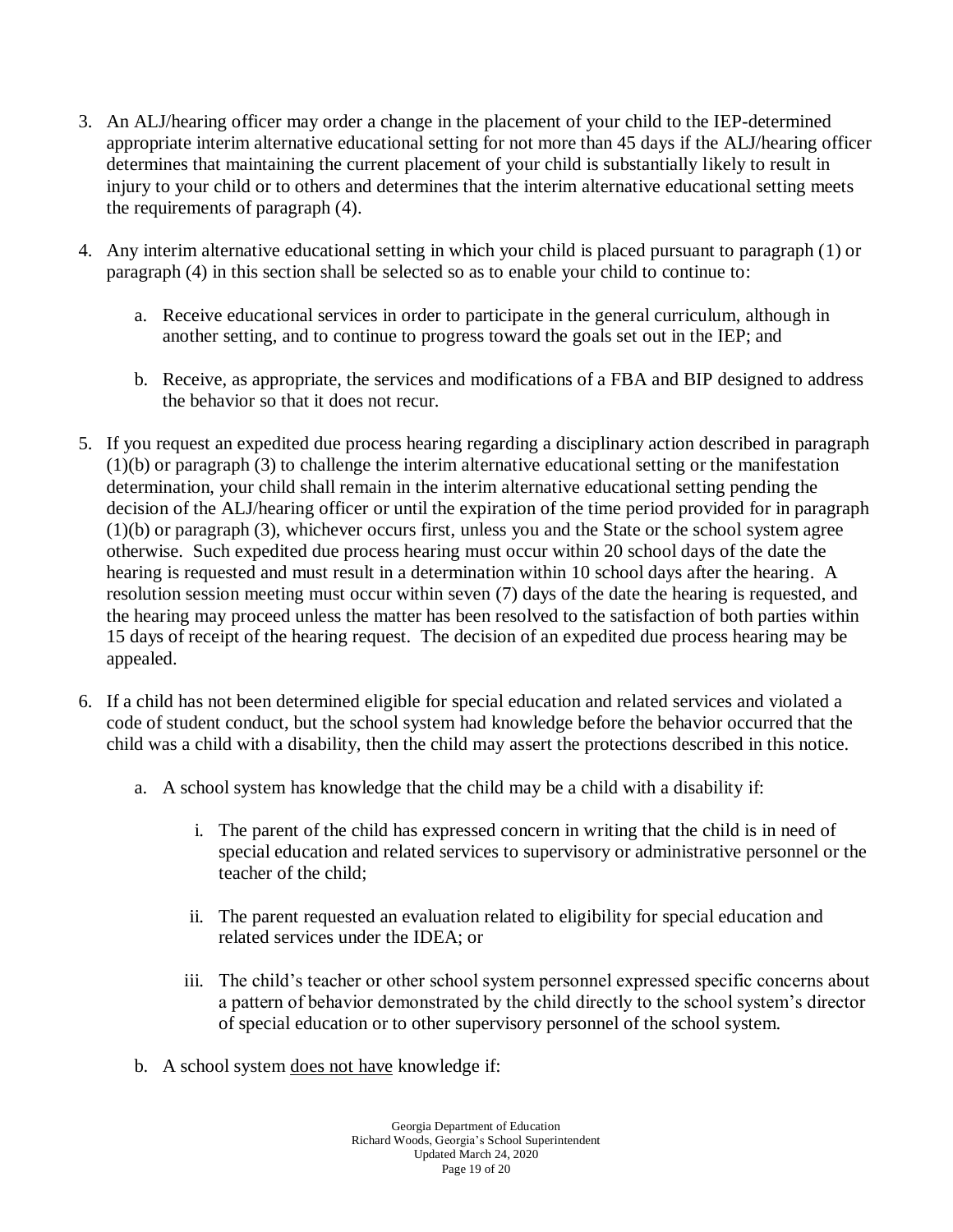- 3. An ALJ/hearing officer may order a change in the placement of your child to the IEP-determined appropriate interim alternative educational setting for not more than 45 days if the ALJ/hearing officer determines that maintaining the current placement of your child is substantially likely to result in injury to your child or to others and determines that the interim alternative educational setting meets the requirements of paragraph (4).
- 4. Any interim alternative educational setting in which your child is placed pursuant to paragraph (1) or paragraph (4) in this section shall be selected so as to enable your child to continue to:
	- a. Receive educational services in order to participate in the general curriculum, although in another setting, and to continue to progress toward the goals set out in the IEP; and
	- b. Receive, as appropriate, the services and modifications of a FBA and BIP designed to address the behavior so that it does not recur.
- 5. If you request an expedited due process hearing regarding a disciplinary action described in paragraph (1)(b) or paragraph (3) to challenge the interim alternative educational setting or the manifestation determination, your child shall remain in the interim alternative educational setting pending the decision of the ALJ/hearing officer or until the expiration of the time period provided for in paragraph (1)(b) or paragraph (3), whichever occurs first, unless you and the State or the school system agree otherwise. Such expedited due process hearing must occur within 20 school days of the date the hearing is requested and must result in a determination within 10 school days after the hearing. A resolution session meeting must occur within seven (7) days of the date the hearing is requested, and the hearing may proceed unless the matter has been resolved to the satisfaction of both parties within 15 days of receipt of the hearing request. The decision of an expedited due process hearing may be appealed.
- 6. If a child has not been determined eligible for special education and related services and violated a code of student conduct, but the school system had knowledge before the behavior occurred that the child was a child with a disability, then the child may assert the protections described in this notice.
	- a. A school system has knowledge that the child may be a child with a disability if:
		- i. The parent of the child has expressed concern in writing that the child is in need of special education and related services to supervisory or administrative personnel or the teacher of the child;
		- ii. The parent requested an evaluation related to eligibility for special education and related services under the IDEA; or
		- iii. The child's teacher or other school system personnel expressed specific concerns about a pattern of behavior demonstrated by the child directly to the school system's director of special education or to other supervisory personnel of the school system.
	- b. A school system does not have knowledge if: